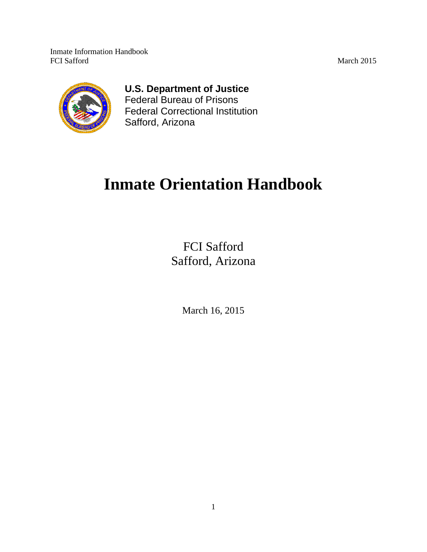

# **U.S. Department of Justice**

Federal Bureau of Prisons Federal Correctional Institution Safford, Arizona

# **Inmate Orientation Handbook**

FCI Safford Safford, Arizona

March 16, 2015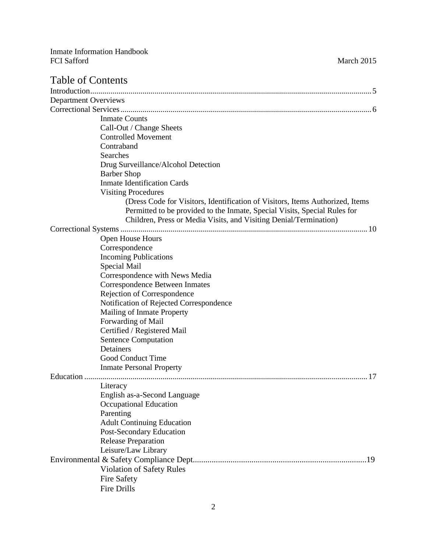# Table of Contents

| <b>Department Overviews</b> |                                                                               |
|-----------------------------|-------------------------------------------------------------------------------|
|                             |                                                                               |
|                             | <b>Inmate Counts</b>                                                          |
|                             | Call-Out / Change Sheets                                                      |
|                             | <b>Controlled Movement</b>                                                    |
|                             | Contraband                                                                    |
|                             | Searches                                                                      |
|                             | Drug Surveillance/Alcohol Detection                                           |
|                             | <b>Barber Shop</b>                                                            |
|                             | <b>Inmate Identification Cards</b>                                            |
|                             | <b>Visiting Procedures</b>                                                    |
|                             | (Dress Code for Visitors, Identification of Visitors, Items Authorized, Items |
|                             | Permitted to be provided to the Inmate, Special Visits, Special Rules for     |
|                             | Children, Press or Media Visits, and Visiting Denial/Termination)             |
|                             |                                                                               |
|                             | Open House Hours                                                              |
|                             | Correspondence                                                                |
|                             | <b>Incoming Publications</b>                                                  |
|                             | Special Mail                                                                  |
|                             |                                                                               |
|                             | Correspondence with News Media                                                |
|                             | Correspondence Between Inmates                                                |
|                             | Rejection of Correspondence                                                   |
|                             | Notification of Rejected Correspondence                                       |
|                             | Mailing of Inmate Property                                                    |
|                             | Forwarding of Mail                                                            |
|                             | Certified / Registered Mail                                                   |
|                             | <b>Sentence Computation</b>                                                   |
|                             | Detainers                                                                     |
|                             | Good Conduct Time                                                             |
|                             | <b>Inmate Personal Property</b>                                               |
| Education                   |                                                                               |
|                             | Literacy                                                                      |
|                             | English as-a-Second Language                                                  |
|                             | <b>Occupational Education</b>                                                 |
|                             | Parenting                                                                     |
|                             | <b>Adult Continuing Education</b>                                             |
|                             | Post-Secondary Education                                                      |
|                             | <b>Release Preparation</b>                                                    |
|                             | Leisure/Law Library                                                           |
|                             |                                                                               |
|                             | Violation of Safety Rules                                                     |
|                             | <b>Fire Safety</b>                                                            |
|                             | Fire Drills                                                                   |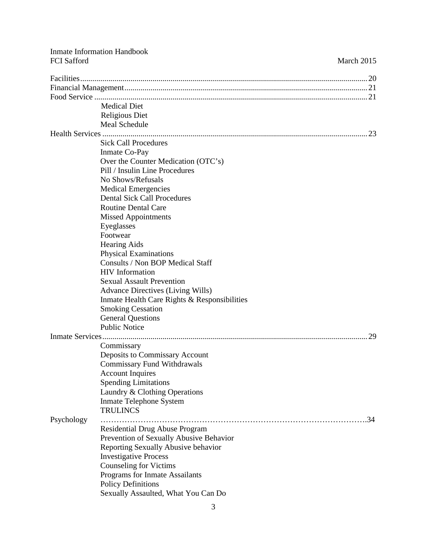|                    | <b>Inmate Information Handbook</b>           |            |
|--------------------|----------------------------------------------|------------|
| <b>FCI</b> Safford |                                              | March 2015 |
|                    |                                              |            |
|                    |                                              |            |
|                    |                                              |            |
|                    | <b>Medical Diet</b>                          |            |
|                    | <b>Religious Diet</b>                        |            |
|                    | Meal Schedule                                |            |
|                    |                                              |            |
|                    | <b>Sick Call Procedures</b>                  |            |
|                    | Inmate Co-Pay                                |            |
|                    | Over the Counter Medication (OTC's)          |            |
|                    | Pill / Insulin Line Procedures               |            |
|                    | No Shows/Refusals                            |            |
|                    | <b>Medical Emergencies</b>                   |            |
|                    | <b>Dental Sick Call Procedures</b>           |            |
|                    | <b>Routine Dental Care</b>                   |            |
|                    | <b>Missed Appointments</b>                   |            |
|                    | Eyeglasses                                   |            |
|                    | Footwear                                     |            |
|                    | <b>Hearing Aids</b>                          |            |
|                    | <b>Physical Examinations</b>                 |            |
|                    | Consults / Non BOP Medical Staff             |            |
|                    | <b>HIV</b> Information                       |            |
|                    | <b>Sexual Assault Prevention</b>             |            |
|                    | <b>Advance Directives (Living Wills)</b>     |            |
|                    | Inmate Health Care Rights & Responsibilities |            |
|                    | <b>Smoking Cessation</b>                     |            |
|                    | <b>General Questions</b>                     |            |
|                    | <b>Public Notice</b>                         |            |
| Inmate Services    |                                              | 29         |
|                    | Commissary                                   |            |
|                    | Deposits to Commissary Account               |            |
|                    | <b>Commissary Fund Withdrawals</b>           |            |
|                    | <b>Account Inquires</b>                      |            |
|                    | <b>Spending Limitations</b>                  |            |
|                    | Laundry & Clothing Operations                |            |
|                    | <b>Inmate Telephone System</b>               |            |
|                    | <b>TRULINCS</b>                              |            |
| Psychology         |                                              | .34        |
|                    | Residential Drug Abuse Program               |            |
|                    | Prevention of Sexually Abusive Behavior      |            |
|                    | Reporting Sexually Abusive behavior          |            |
|                    | <b>Investigative Process</b>                 |            |
|                    | <b>Counseling for Victims</b>                |            |
|                    | Programs for Inmate Assailants               |            |
|                    | <b>Policy Definitions</b>                    |            |
|                    | Sexually Assaulted, What You Can Do          |            |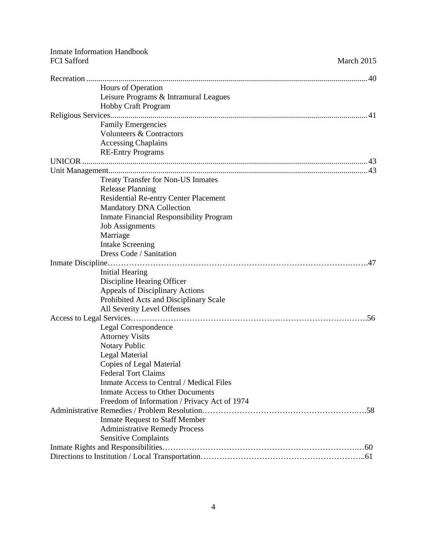|                    | <b>Inmate Information Handbook</b>              |            |
|--------------------|-------------------------------------------------|------------|
| <b>FCI</b> Safford |                                                 | March 2015 |
|                    |                                                 |            |
|                    | Hours of Operation                              |            |
|                    | Leisure Programs & Intramural Leagues           |            |
|                    | <b>Hobby Craft Program</b>                      |            |
|                    |                                                 |            |
|                    | <b>Family Emergencies</b>                       |            |
|                    | Volunteers & Contractors                        |            |
|                    | <b>Accessing Chaplains</b>                      |            |
|                    | <b>RE-Entry Programs</b>                        |            |
|                    |                                                 |            |
|                    |                                                 |            |
|                    | <b>Treaty Transfer for Non-US Inmates</b>       |            |
|                    | <b>Release Planning</b>                         |            |
|                    | <b>Residential Re-entry Center Placement</b>    |            |
|                    | <b>Mandatory DNA Collection</b>                 |            |
|                    | <b>Inmate Financial Responsibility Program</b>  |            |
|                    | <b>Job Assignments</b>                          |            |
|                    | Marriage                                        |            |
|                    | <b>Intake Screening</b>                         |            |
|                    | Dress Code / Sanitation                         |            |
|                    |                                                 | .47        |
|                    | <b>Initial Hearing</b>                          |            |
|                    | Discipline Hearing Officer                      |            |
|                    | <b>Appeals of Disciplinary Actions</b>          |            |
|                    | Prohibited Acts and Disciplinary Scale          |            |
|                    | All Severity Level Offenses                     |            |
|                    |                                                 |            |
|                    | Legal Correspondence                            |            |
|                    | <b>Attorney Visits</b>                          |            |
|                    | Notary Public                                   |            |
|                    | Legal Material                                  |            |
|                    | Copies of Legal Material                        |            |
|                    | <b>Federal Tort Claims</b>                      |            |
|                    | <b>Inmate Access to Central / Medical Files</b> |            |
|                    | <b>Inmate Access to Other Documents</b>         |            |
|                    | Freedom of Information / Privacy Act of 1974    |            |
|                    |                                                 |            |
|                    | <b>Inmate Request to Staff Member</b>           |            |
|                    | <b>Administrative Remedy Process</b>            |            |
|                    | <b>Sensitive Complaints</b>                     |            |
|                    |                                                 |            |
|                    |                                                 |            |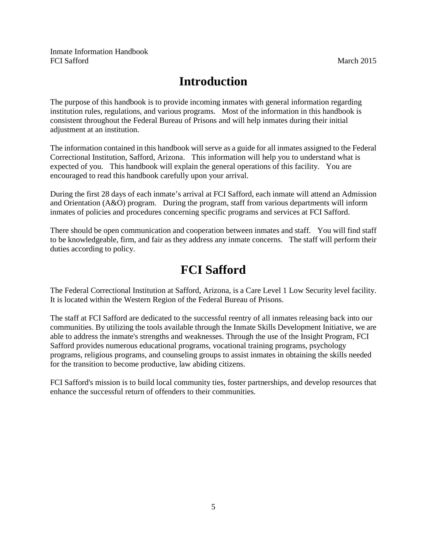# **Introduction**

The purpose of this handbook is to provide incoming inmates with general information regarding institution rules, regulations, and various programs. Most of the information in this handbook is consistent throughout the Federal Bureau of Prisons and will help inmates during their initial adjustment at an institution.

The information contained in this handbook will serve as a guide for all inmates assigned to the Federal Correctional Institution, Safford, Arizona. This information will help you to understand what is expected of you. This handbook will explain the general operations of this facility. You are encouraged to read this handbook carefully upon your arrival.

During the first 28 days of each inmate's arrival at FCI Safford, each inmate will attend an Admission and Orientation (A&O) program. During the program, staff from various departments will inform inmates of policies and procedures concerning specific programs and services at FCI Safford.

There should be open communication and cooperation between inmates and staff. You will find staff to be knowledgeable, firm, and fair as they address any inmate concerns. The staff will perform their duties according to policy.

# **FCI Safford**

The Federal Correctional Institution at Safford, Arizona, is a Care Level 1 Low Security level facility. It is located within the Western Region of the Federal Bureau of Prisons.

The staff at FCI Safford are dedicated to the successful reentry of all inmates releasing back into our communities. By utilizing the tools available through the Inmate Skills Development Initiative, we are able to address the inmate's strengths and weaknesses. Through the use of the Insight Program, FCI Safford provides numerous educational programs, vocational training programs, psychology programs, religious programs, and counseling groups to assist inmates in obtaining the skills needed for the transition to become productive, law abiding citizens.

FCI Safford's mission is to build local community ties, foster partnerships, and develop resources that enhance the successful return of offenders to their communities.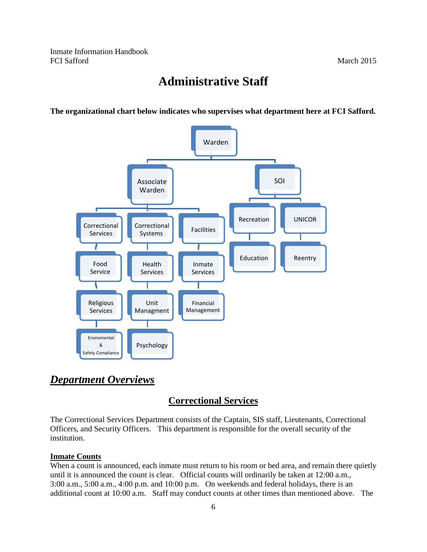# **Administrative Staff**

**The organizational chart below indicates who supervises what department here at FCI Safford.** 



# *Department Overviews*

# **Correctional Services**

The Correctional Services Department consists of the Captain, SIS staff, Lieutenants, Correctional Officers, and Security Officers. This department is responsible for the overall security of the institution.

#### **Inmate Counts**

When a count is announced, each inmate must return to his room or bed area, and remain there quietly until it is announced the count is clear. Official counts will ordinarily be taken at 12:00 a.m., 3:00 a.m., 5:00 a.m., 4:00 p.m. and 10:00 p.m. On weekends and federal holidays, there is an additional count at 10:00 a.m. Staff may conduct counts at other times than mentioned above. The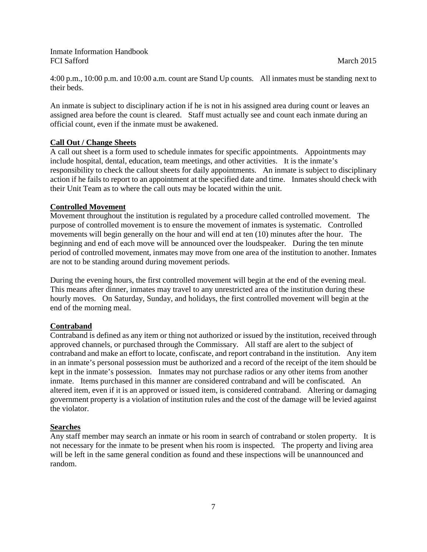4:00 p.m., 10:00 p.m. and 10:00 a.m. count are Stand Up counts. All inmates must be standing next to their beds.

An inmate is subject to disciplinary action if he is not in his assigned area during count or leaves an assigned area before the count is cleared. Staff must actually see and count each inmate during an official count, even if the inmate must be awakened.

# **Call Out / Change Sheets**

A call out sheet is a form used to schedule inmates for specific appointments. Appointments may include hospital, dental, education, team meetings, and other activities. It is the inmate's responsibility to check the callout sheets for daily appointments. An inmate is subject to disciplinary action if he fails to report to an appointment at the specified date and time. Inmates should check with their Unit Team as to where the call outs may be located within the unit.

# **Controlled Movement**

Movement throughout the institution is regulated by a procedure called controlled movement. The purpose of controlled movement is to ensure the movement of inmates is systematic. Controlled movements will begin generally on the hour and will end at ten (10) minutes after the hour. The beginning and end of each move will be announced over the loudspeaker. During the ten minute period of controlled movement, inmates may move from one area of the institution to another. Inmates are not to be standing around during movement periods.

During the evening hours, the first controlled movement will begin at the end of the evening meal. This means after dinner, inmates may travel to any unrestricted area of the institution during these hourly moves. On Saturday, Sunday, and holidays, the first controlled movement will begin at the end of the morning meal.

# **Contraband**

Contraband is defined as any item or thing not authorized or issued by the institution, received through approved channels, or purchased through the Commissary. All staff are alert to the subject of contraband and make an effort to locate, confiscate, and report contraband in the institution. Any item in an inmate's personal possession must be authorized and a record of the receipt of the item should be kept in the inmate's possession. Inmates may not purchase radios or any other items from another inmate. Items purchased in this manner are considered contraband and will be confiscated. An altered item, even if it is an approved or issued item, is considered contraband. Altering or damaging government property is a violation of institution rules and the cost of the damage will be levied against the violator.

# **Searches**

Any staff member may search an inmate or his room in search of contraband or stolen property. It is not necessary for the inmate to be present when his room is inspected.The property and living area will be left in the same general condition as found and these inspections will be unannounced and random.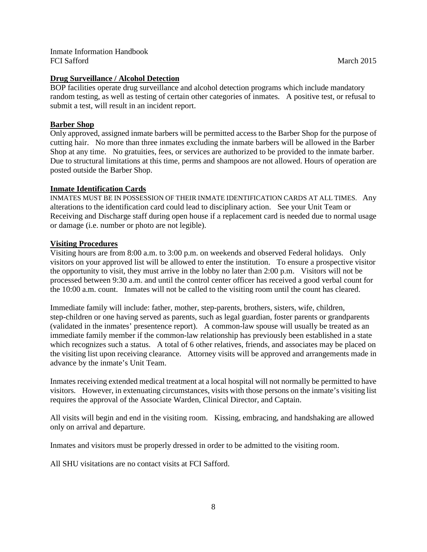# **Drug Surveillance / Alcohol Detection**

BOP facilities operate drug surveillance and alcohol detection programs which include mandatory random testing, as well as testing of certain other categories of inmates. A positive test, or refusal to submit a test, will result in an incident report.

## **Barber Shop**

Only approved, assigned inmate barbers will be permitted access to the Barber Shop for the purpose of cutting hair. No more than three inmates excluding the inmate barbers will be allowed in the Barber Shop at any time. No gratuities, fees, or services are authorized to be provided to the inmate barber. Due to structural limitations at this time, perms and shampoos are not allowed. Hours of operation are posted outside the Barber Shop.

## **Inmate Identification Cards**

INMATES MUST BE IN POSSESSION OF THEIR INMATE IDENTIFICATION CARDS AT ALL TIMES. Any alterations to the identification card could lead to disciplinary action. See your Unit Team or Receiving and Discharge staff during open house if a replacement card is needed due to normal usage or damage (i.e. number or photo are not legible).

## **Visiting Procedures**

Visiting hours are from 8:00 a.m. to 3:00 p.m. on weekends and observed Federal holidays. Only visitors on your approved list will be allowed to enter the institution. To ensure a prospective visitor the opportunity to visit, they must arrive in the lobby no later than 2:00 p.m. Visitors will not be processed between 9:30 a.m. and until the control center officer has received a good verbal count for the 10:00 a.m. count. Inmates will not be called to the visiting room until the count has cleared.

Immediate family will include: father, mother, step-parents, brothers, sisters, wife, children, step-children or one having served as parents, such as legal guardian, foster parents or grandparents (validated in the inmates' presentence report). A common-law spouse will usually be treated as an immediate family member if the common-law relationship has previously been established in a state which recognizes such a status. A total of 6 other relatives, friends, and associates may be placed on the visiting list upon receiving clearance. Attorney visits will be approved and arrangements made in advance by the inmate's Unit Team.

Inmates receiving extended medical treatment at a local hospital will not normally be permitted to have visitors. However, in extenuating circumstances, visits with those persons on the inmate's visiting list requires the approval of the Associate Warden, Clinical Director, and Captain.

All visits will begin and end in the visiting room. Kissing, embracing, and handshaking are allowed only on arrival and departure.

Inmates and visitors must be properly dressed in order to be admitted to the visiting room.

All SHU visitations are no contact visits at FCI Safford.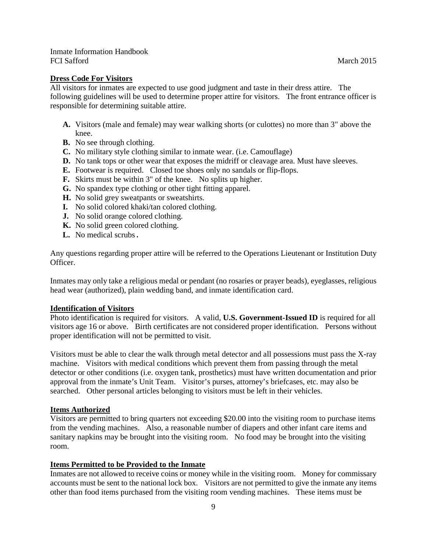#### **Dress Code For Visitors**

All visitors for inmates are expected to use good judgment and taste in their dress attire. The following guidelines will be used to determine proper attire for visitors. The front entrance officer is responsible for determining suitable attire.

- **A.** Visitors (male and female) may wear walking shorts (or culottes) no more than 3" above the knee.
- **B.** No see through clothing.
- **C.** No military style clothing similar to inmate wear. (i.e. Camouflage)
- **D.** No tank tops or other wear that exposes the midriff or cleavage area. Must have sleeves.
- **E.** Footwear is required. Closed toe shoes only no sandals or flip-flops.
- **F.** Skirts must be within 3" of the knee. No splits up higher.
- **G.** No spandex type clothing or other tight fitting apparel.
- **H.** No solid grey sweatpants or sweatshirts.
- **I.** No solid colored khaki/tan colored clothing.
- **J.** No solid orange colored clothing.
- **K.** No solid green colored clothing.
- **L.** No medical scrubs.

Any questions regarding proper attire will be referred to the Operations Lieutenant or Institution Duty Officer.

Inmates may only take a religious medal or pendant (no rosaries or prayer beads), eyeglasses, religious head wear (authorized), plain wedding band, and inmate identification card.

#### **Identification of Visitors**

Photo identification is required for visitors. A valid, **U.S. Government-Issued ID** is required for all visitors age 16 or above. Birth certificates are not considered proper identification. Persons without proper identification will not be permitted to visit.

Visitors must be able to clear the walk through metal detector and all possessions must pass the X-ray machine. Visitors with medical conditions which prevent them from passing through the metal detector or other conditions (i.e. oxygen tank, prosthetics) must have written documentation and prior approval from the inmate's Unit Team. Visitor's purses, attorney's briefcases, etc. may also be searched. Other personal articles belonging to visitors must be left in their vehicles.

#### **Items Authorized**

Visitors are permitted to bring quarters not exceeding \$20.00 into the visiting room to purchase items from the vending machines. Also, a reasonable number of diapers and other infant care items and sanitary napkins may be brought into the visiting room. No food may be brought into the visiting room.

#### **Items Permitted to be Provided to the Inmate**

Inmates are not allowed to receive coins or money while in the visiting room. Money for commissary accounts must be sent to the national lock box. Visitors are not permitted to give the inmate any items other than food items purchased from the visiting room vending machines. These items must be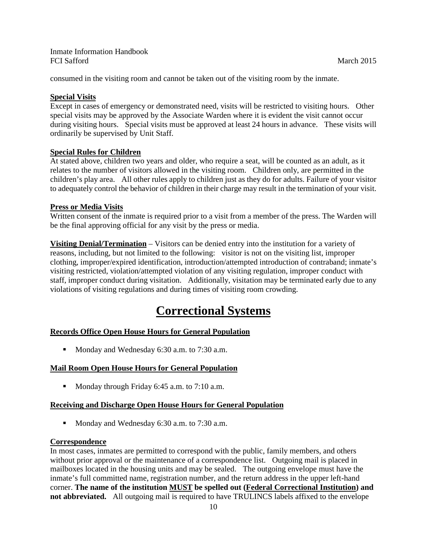consumed in the visiting room and cannot be taken out of the visiting room by the inmate.

# **Special Visits**

Except in cases of emergency or demonstrated need, visits will be restricted to visiting hours. Other special visits may be approved by the Associate Warden where it is evident the visit cannot occur during visiting hours. Special visits must be approved at least 24 hours in advance. These visits will ordinarily be supervised by Unit Staff.

# **Special Rules for Children**

At stated above, children two years and older, who require a seat, will be counted as an adult, as it relates to the number of visitors allowed in the visiting room. Children only, are permitted in the children's play area. All other rules apply to children just as they do for adults. Failure of your visitor to adequately control the behavior of children in their charge may result in the termination of your visit.

## **Press or Media Visits**

Written consent of the inmate is required prior to a visit from a member of the press. The Warden will be the final approving official for any visit by the press or media.

**Visiting Denial/Termination** – Visitors can be denied entry into the institution for a variety of reasons, including, but not limited to the following: visitor is not on the visiting list, improper clothing, improper/expired identification, introduction/attempted introduction of contraband; inmate's visiting restricted, violation/attempted violation of any visiting regulation, improper conduct with staff, improper conduct during visitation. Additionally, visitation may be terminated early due to any violations of visiting regulations and during times of visiting room crowding.

# **Correctional Systems**

# **Records Office Open House Hours for General Population**

Monday and Wednesday 6:30 a.m. to 7:30 a.m.

#### **Mail Room Open House Hours for General Population**

Monday through Friday 6:45 a.m. to  $7:10$  a.m.

#### **Receiving and Discharge Open House Hours for General Population**

Monday and Wednesday 6:30 a.m. to 7:30 a.m.

#### **Correspondence**

In most cases, inmates are permitted to correspond with the public, family members, and others without prior approval or the maintenance of a correspondence list. Outgoing mail is placed in mailboxes located in the housing units and may be sealed. The outgoing envelope must have the inmate's full committed name, registration number, and the return address in the upper left-hand corner. **The name of the institution MUST be spelled out (Federal Correctional Institution) and not abbreviated.** All outgoing mail is required to have TRULINCS labels affixed to the envelope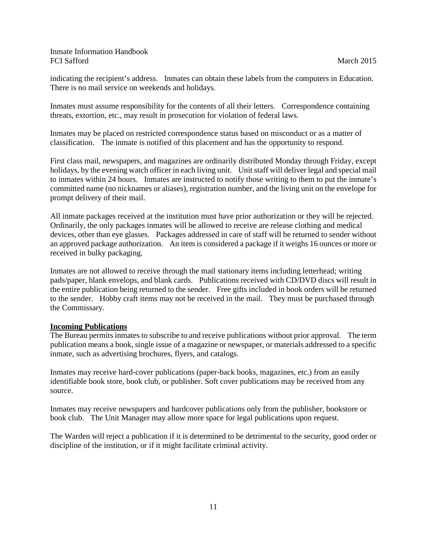indicating the recipient's address. Inmates can obtain these labels from the computers in Education. There is no mail service on weekends and holidays.

Inmates must assume responsibility for the contents of all their letters. Correspondence containing threats, extortion, etc., may result in prosecution for violation of federal laws.

Inmates may be placed on restricted correspondence status based on misconduct or as a matter of classification. The inmate is notified of this placement and has the opportunity to respond.

First class mail, newspapers, and magazines are ordinarily distributed Monday through Friday, except holidays, by the evening watch officer in each living unit. Unit staff will deliver legal and special mail to inmates within 24 hours. Inmates are instructed to notify those writing to them to put the inmate's committed name (no nicknames or aliases), registration number, and the living unit on the envelope for prompt delivery of their mail.

All inmate packages received at the institution must have prior authorization or they will be rejected. Ordinarily, the only packages inmates will be allowed to receive are release clothing and medical devices, other than eye glasses. Packages addressed in care of staff will be returned to sender without an approved package authorization. An item is considered a package if it weighs 16 ounces or more or received in bulky packaging.

Inmates are not allowed to receive through the mail stationary items including letterhead; writing pads/paper, blank envelops, and blank cards. Publications received with CD/DVD discs will result in the entire publication being returned to the sender. Free gifts included in book orders will be returned to the sender. Hobby craft items may not be received in the mail. They must be purchased through the Commissary.

# **Incoming Publications**

The Bureau permits inmates to subscribe to and receive publications without prior approval. The term publication means a book, single issue of a magazine or newspaper, or materials addressed to a specific inmate, such as advertising brochures, flyers, and catalogs.

Inmates may receive hard-cover publications (paper-back books, magazines, etc.) from an easily identifiable book store, book club, or publisher. Soft cover publications may be received from any source.

Inmates may receive newspapers and hardcover publications only from the publisher, bookstore or book club. The Unit Manager may allow more space for legal publications upon request.

The Warden will reject a publication if it is determined to be detrimental to the security, good order or discipline of the institution, or if it might facilitate criminal activity.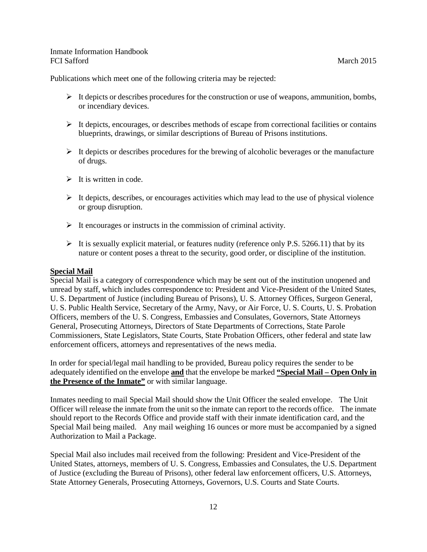Publications which meet one of the following criteria may be rejected:

- $\triangleright$  It depicts or describes procedures for the construction or use of weapons, ammunition, bombs, or incendiary devices.
- $\triangleright$  It depicts, encourages, or describes methods of escape from correctional facilities or contains blueprints, drawings, or similar descriptions of Bureau of Prisons institutions.
- $\triangleright$  It depicts or describes procedures for the brewing of alcoholic beverages or the manufacture of drugs.
- $\triangleright$  It is written in code.
- $\triangleright$  It depicts, describes, or encourages activities which may lead to the use of physical violence or group disruption.
- $\triangleright$  It encourages or instructs in the commission of criminal activity.
- $\triangleright$  It is sexually explicit material, or features nudity (reference only P.S. 5266.11) that by its nature or content poses a threat to the security, good order, or discipline of the institution.

#### **Special Mail**

Special Mail is a category of correspondence which may be sent out of the institution unopened and unread by staff, which includes correspondence to: President and Vice-President of the United States, U. S. Department of Justice (including Bureau of Prisons), U. S. Attorney Offices, Surgeon General, U. S. Public Health Service, Secretary of the Army, Navy, or Air Force, U. S. Courts, U. S. Probation Officers, members of the U. S. Congress, Embassies and Consulates, Governors, State Attorneys General, Prosecuting Attorneys, Directors of State Departments of Corrections, State Parole Commissioners, State Legislators, State Courts, State Probation Officers, other federal and state law enforcement officers, attorneys and representatives of the news media.

In order for special/legal mail handling to be provided, Bureau policy requires the sender to be adequately identified on the envelope **and** that the envelope be marked **"Special Mail – Open Only in the Presence of the Inmate"** or with similar language.

Inmates needing to mail Special Mail should show the Unit Officer the sealed envelope. The Unit Officer will release the inmate from the unit so the inmate can report to the records office. The inmate should report to the Records Office and provide staff with their inmate identification card, and the Special Mail being mailed. Any mail weighing 16 ounces or more must be accompanied by a signed Authorization to Mail a Package.

Special Mail also includes mail received from the following: President and Vice-President of the United States, attorneys, members of U. S. Congress, Embassies and Consulates, the U.S. Department of Justice (excluding the Bureau of Prisons), other federal law enforcement officers, U.S. Attorneys, State Attorney Generals, Prosecuting Attorneys, Governors, U.S. Courts and State Courts.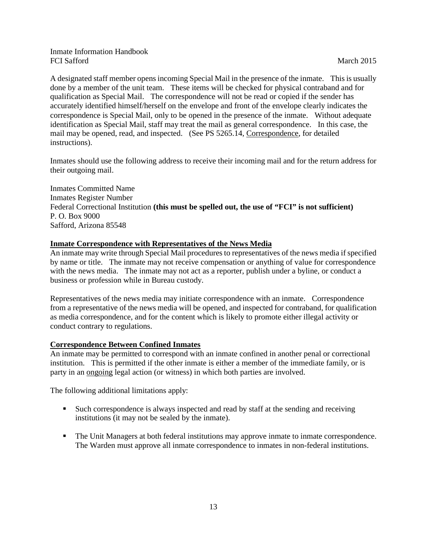A designated staff member opens incoming Special Mail in the presence of the inmate. This is usually done by a member of the unit team. These items will be checked for physical contraband and for qualification as Special Mail. The correspondence will not be read or copied if the sender has accurately identified himself/herself on the envelope and front of the envelope clearly indicates the correspondence is Special Mail, only to be opened in the presence of the inmate. Without adequate identification as Special Mail, staff may treat the mail as general correspondence. In this case, the mail may be opened, read, and inspected. (See PS 5265.14, Correspondence, for detailed instructions).

Inmates should use the following address to receive their incoming mail and for the return address for their outgoing mail.

Inmates Committed Name Inmates Register Number Federal Correctional Institution **(this must be spelled out, the use of "FCI" is not sufficient)** P. O. Box 9000 Safford, Arizona 85548

## **Inmate Correspondence with Representatives of the News Media**

An inmate may write through Special Mail procedures to representatives of the news media if specified by name or title. The inmate may not receive compensation or anything of value for correspondence with the news media. The inmate may not act as a reporter, publish under a byline, or conduct a business or profession while in Bureau custody.

Representatives of the news media may initiate correspondence with an inmate. Correspondence from a representative of the news media will be opened, and inspected for contraband, for qualification as media correspondence, and for the content which is likely to promote either illegal activity or conduct contrary to regulations.

# **Correspondence Between Confined Inmates**

An inmate may be permitted to correspond with an inmate confined in another penal or correctional institution. This is permitted if the other inmate is either a member of the immediate family, or is party in an ongoing legal action (or witness) in which both parties are involved.

The following additional limitations apply:

- Such correspondence is always inspected and read by staff at the sending and receiving institutions (it may not be sealed by the inmate).
- The Unit Managers at both federal institutions may approve inmate to inmate correspondence. The Warden must approve all inmate correspondence to inmates in non-federal institutions.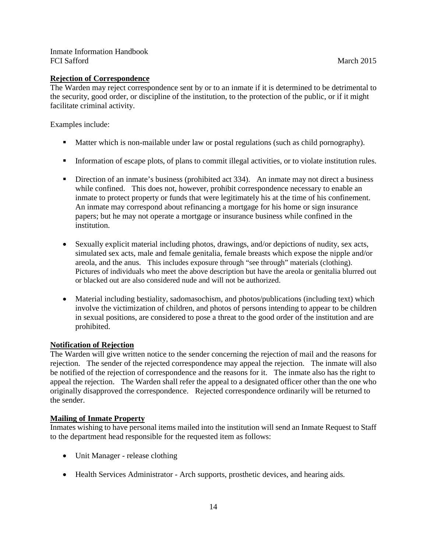# **Rejection of Correspondence**

The Warden may reject correspondence sent by or to an inmate if it is determined to be detrimental to the security, good order, or discipline of the institution, to the protection of the public, or if it might facilitate criminal activity.

Examples include:

- **Matter which is non-mailable under law or postal regulations (such as child pornography).**
- Information of escape plots, of plans to commit illegal activities, or to violate institution rules.
- **Direction of an inmate's business (prohibited act 334).** An inmate may not direct a business while confined. This does not, however, prohibit correspondence necessary to enable an inmate to protect property or funds that were legitimately his at the time of his confinement. An inmate may correspond about refinancing a mortgage for his home or sign insurance papers; but he may not operate a mortgage or insurance business while confined in the institution.
- Sexually explicit material including photos, drawings, and/or depictions of nudity, sex acts, simulated sex acts, male and female genitalia, female breasts which expose the nipple and/or areola, and the anus. This includes exposure through "see through" materials (clothing). Pictures of individuals who meet the above description but have the areola or genitalia blurred out or blacked out are also considered nude and will not be authorized.
- Material including bestiality, sadomasochism, and photos/publications (including text) which involve the victimization of children, and photos of persons intending to appear to be children in sexual positions, are considered to pose a threat to the good order of the institution and are prohibited.

# **Notification of Rejection**

The Warden will give written notice to the sender concerning the rejection of mail and the reasons for rejection. The sender of the rejected correspondence may appeal the rejection. The inmate will also be notified of the rejection of correspondence and the reasons for it. The inmate also has the right to appeal the rejection. The Warden shall refer the appeal to a designated officer other than the one who originally disapproved the correspondence. Rejected correspondence ordinarily will be returned to the sender.

# **Mailing of Inmate Property**

Inmates wishing to have personal items mailed into the institution will send an Inmate Request to Staff to the department head responsible for the requested item as follows:

- Unit Manager release clothing
- Health Services Administrator Arch supports, prosthetic devices, and hearing aids.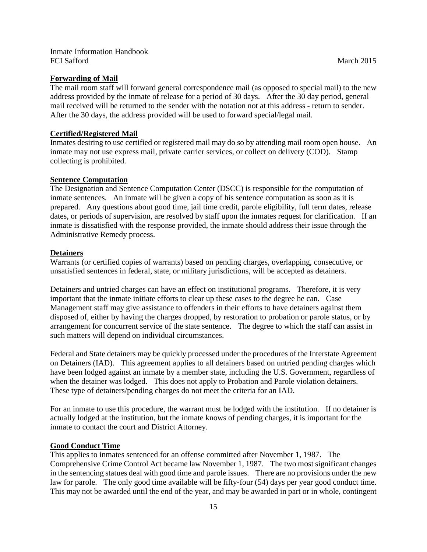### **Forwarding of Mail**

The mail room staff will forward general correspondence mail (as opposed to special mail) to the new address provided by the inmate of release for a period of 30 days. After the 30 day period, general mail received will be returned to the sender with the notation not at this address - return to sender. After the 30 days, the address provided will be used to forward special/legal mail.

## **Certified/Registered Mail**

Inmates desiring to use certified or registered mail may do so by attending mail room open house. An inmate may not use express mail, private carrier services, or collect on delivery (COD). Stamp collecting is prohibited.

#### **Sentence Computation**

The Designation and Sentence Computation Center (DSCC) is responsible for the computation of inmate sentences. An inmate will be given a copy of his sentence computation as soon as it is prepared. Any questions about good time, jail time credit, parole eligibility, full term dates, release dates, or periods of supervision, are resolved by staff upon the inmates request for clarification. If an inmate is dissatisfied with the response provided, the inmate should address their issue through the Administrative Remedy process.

## **Detainers**

Warrants (or certified copies of warrants) based on pending charges, overlapping, consecutive, or unsatisfied sentences in federal, state, or military jurisdictions, will be accepted as detainers.

Detainers and untried charges can have an effect on institutional programs. Therefore, it is very important that the inmate initiate efforts to clear up these cases to the degree he can. Case Management staff may give assistance to offenders in their efforts to have detainers against them disposed of, either by having the charges dropped, by restoration to probation or parole status, or by arrangement for concurrent service of the state sentence. The degree to which the staff can assist in such matters will depend on individual circumstances.

Federal and State detainers may be quickly processed under the procedures of the Interstate Agreement on Detainers (IAD). This agreement applies to all detainers based on untried pending charges which have been lodged against an inmate by a member state, including the U.S. Government, regardless of when the detainer was lodged. This does not apply to Probation and Parole violation detainers. These type of detainers/pending charges do not meet the criteria for an IAD.

For an inmate to use this procedure, the warrant must be lodged with the institution. If no detainer is actually lodged at the institution, but the inmate knows of pending charges, it is important for the inmate to contact the court and District Attorney.

#### **Good Conduct Time**

This applies to inmates sentenced for an offense committed after November 1, 1987. The Comprehensive Crime Control Act became law November 1, 1987. The two most significant changes in the sentencing statues deal with good time and parole issues. There are no provisions under the new law for parole. The only good time available will be fifty-four (54) days per year good conduct time. This may not be awarded until the end of the year, and may be awarded in part or in whole, contingent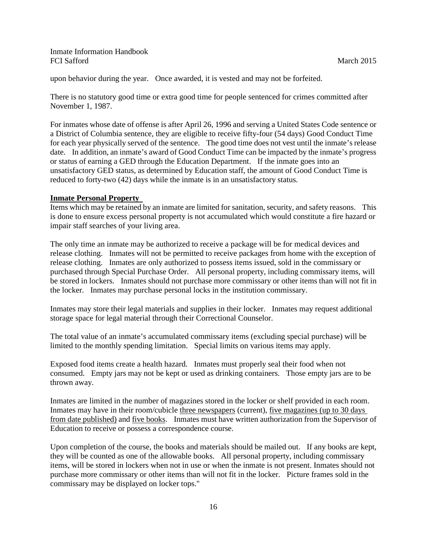upon behavior during the year. Once awarded, it is vested and may not be forfeited.

There is no statutory good time or extra good time for people sentenced for crimes committed after November 1, 1987.

For inmates whose date of offense is after April 26, 1996 and serving a United States Code sentence or a District of Columbia sentence, they are eligible to receive fifty-four (54 days) Good Conduct Time for each year physically served of the sentence. The good time does not vest until the inmate's release date. In addition, an inmate's award of Good Conduct Time can be impacted by the inmate's progress or status of earning a GED through the Education Department. If the inmate goes into an unsatisfactory GED status, as determined by Education staff, the amount of Good Conduct Time is reduced to forty-two (42) days while the inmate is in an unsatisfactory status.

#### **Inmate Personal Property**

Items which may be retained by an inmate are limited for sanitation, security, and safety reasons. This is done to ensure excess personal property is not accumulated which would constitute a fire hazard or impair staff searches of your living area.

The only time an inmate may be authorized to receive a package will be for medical devices and release clothing. Inmates will not be permitted to receive packages from home with the exception of release clothing. Inmates are only authorized to possess items issued, sold in the commissary or purchased through Special Purchase Order. All personal property, including commissary items, will be stored in lockers. Inmates should not purchase more commissary or other items than will not fit in the locker. Inmates may purchase personal locks in the institution commissary.

Inmates may store their legal materials and supplies in their locker. Inmates may request additional storage space for legal material through their Correctional Counselor.

The total value of an inmate's accumulated commissary items (excluding special purchase) will be limited to the monthly spending limitation. Special limits on various items may apply.

Exposed food items create a health hazard. Inmates must properly seal their food when not consumed. Empty jars may not be kept or used as drinking containers. Those empty jars are to be thrown away.

Inmates are limited in the number of magazines stored in the locker or shelf provided in each room. Inmates may have in their room/cubicle three newspapers (current), five magazines (up to 30 days from date published) and five books. Inmates must have written authorization from the Supervisor of Education to receive or possess a correspondence course.

Upon completion of the course, the books and materials should be mailed out. If any books are kept, they will be counted as one of the allowable books. All personal property, including commissary items, will be stored in lockers when not in use or when the inmate is not present. Inmates should not purchase more commissary or other items than will not fit in the locker. Picture frames sold in the commissary may be displayed on locker tops."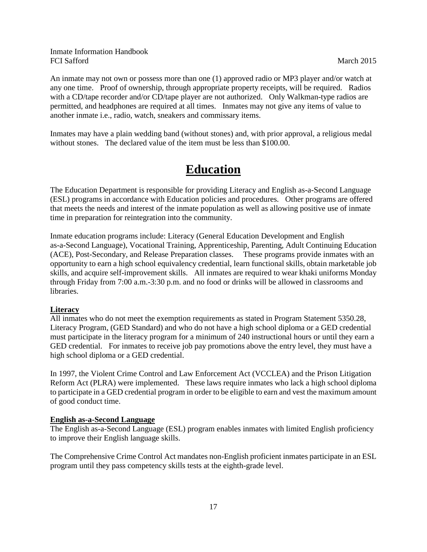An inmate may not own or possess more than one (1) approved radio or MP3 player and/or watch at any one time. Proof of ownership, through appropriate property receipts, will be required. Radios with a CD/tape recorder and/or CD/tape player are not authorized. Only Walkman-type radios are permitted, and headphones are required at all times. Inmates may not give any items of value to another inmate i.e., radio, watch, sneakers and commissary items.

Inmates may have a plain wedding band (without stones) and, with prior approval, a religious medal without stones. The declared value of the item must be less than \$100.00.

# **Education**

The Education Department is responsible for providing Literacy and English as-a-Second Language (ESL) programs in accordance with Education policies and procedures. Other programs are offered that meets the needs and interest of the inmate population as well as allowing positive use of inmate time in preparation for reintegration into the community.

Inmate education programs include: Literacy (General Education Development and English as-a-Second Language), Vocational Training, Apprenticeship, Parenting, Adult Continuing Education (ACE), Post-Secondary, and Release Preparation classes. These programs provide inmates with an opportunity to earn a high school equivalency credential, learn functional skills, obtain marketable job skills, and acquire self-improvement skills. All inmates are required to wear khaki uniforms Monday through Friday from 7:00 a.m.-3:30 p.m. and no food or drinks will be allowed in classrooms and libraries.

# **Literacy**

All inmates who do not meet the exemption requirements as stated in Program Statement 5350.28, Literacy Program, (GED Standard) and who do not have a high school diploma or a GED credential must participate in the literacy program for a minimum of 240 instructional hours or until they earn a GED credential. For inmates to receive job pay promotions above the entry level, they must have a high school diploma or a GED credential.

In 1997, the Violent Crime Control and Law Enforcement Act (VCCLEA) and the Prison Litigation Reform Act (PLRA) were implemented. These laws require inmates who lack a high school diploma to participate in a GED credential program in order to be eligible to earn and vest the maximum amount of good conduct time.

#### **English as-a-Second Language**

The English as-a-Second Language (ESL) program enables inmates with limited English proficiency to improve their English language skills.

The Comprehensive Crime Control Act mandates non-English proficient inmates participate in an ESL program until they pass competency skills tests at the eighth-grade level.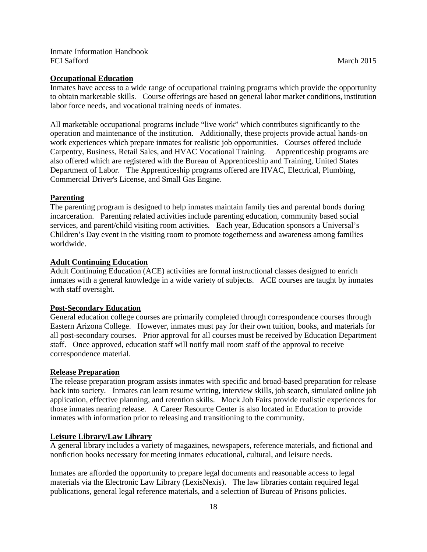#### **Occupational Education**

Inmates have access to a wide range of occupational training programs which provide the opportunity to obtain marketable skills. Course offerings are based on general labor market conditions, institution labor force needs, and vocational training needs of inmates.

All marketable occupational programs include "live work" which contributes significantly to the operation and maintenance of the institution. Additionally, these projects provide actual hands-on work experiences which prepare inmates for realistic job opportunities. Courses offered include Carpentry, Business, Retail Sales, and HVAC Vocational Training. Apprenticeship programs are also offered which are registered with the Bureau of Apprenticeship and Training, United States Department of Labor. The Apprenticeship programs offered are HVAC, Electrical, Plumbing, Commercial Driver's License, and Small Gas Engine.

#### **Parenting**

The parenting program is designed to help inmates maintain family ties and parental bonds during incarceration. Parenting related activities include parenting education, community based social services, and parent/child visiting room activities. Each year, Education sponsors a Universal's Children's Day event in the visiting room to promote togetherness and awareness among families worldwide.

## **Adult Continuing Education**

Adult Continuing Education (ACE) activities are formal instructional classes designed to enrich inmates with a general knowledge in a wide variety of subjects. ACE courses are taught by inmates with staff oversight.

#### **Post-Secondary Education**

General education college courses are primarily completed through correspondence courses through Eastern Arizona College. However, inmates must pay for their own tuition, books, and materials for all post-secondary courses. Prior approval for all courses must be received by Education Department staff. Once approved, education staff will notify mail room staff of the approval to receive correspondence material.

### **Release Preparation**

The release preparation program assists inmates with specific and broad-based preparation for release back into society. Inmates can learn resume writing, interview skills, job search, simulated online job application, effective planning, and retention skills. Mock Job Fairs provide realistic experiences for those inmates nearing release. A Career Resource Center is also located in Education to provide inmates with information prior to releasing and transitioning to the community.

#### **Leisure Library/Law Library**

A general library includes a variety of magazines, newspapers, reference materials, and fictional and nonfiction books necessary for meeting inmates educational, cultural, and leisure needs.

Inmates are afforded the opportunity to prepare legal documents and reasonable access to legal materials via the Electronic Law Library (LexisNexis). The law libraries contain required legal publications, general legal reference materials, and a selection of Bureau of Prisons policies.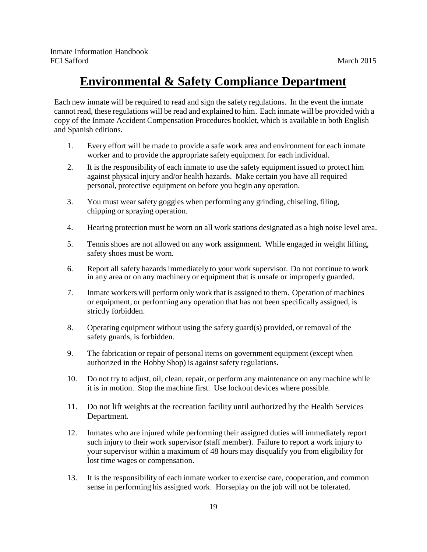# **Environmental & Safety Compliance Department**

Each new inmate will be required to read and sign the safety regulations. In the event the inmate cannot read, these regulations will be read and explained to him. Each inmate will be provided with a copy of the Inmate Accident Compensation Procedures booklet, which is available in both English and Spanish editions.

- 1. Every effort will be made to provide a safe work area and environment for each inmate worker and to provide the appropriate safety equipment for each individual.
- 2. It is the responsibility of each inmate to use the safety equipment issued to protect him against physical injury and/or health hazards. Make certain you have all required personal, protective equipment on before you begin any operation.
- 3. You must wear safety goggles when performing any grinding, chiseling, filing, chipping or spraying operation.
- 4. Hearing protection must be worn on all work stations designated as a high noise level area.
- 5. Tennis shoes are not allowed on any work assignment. While engaged in weight lifting, safety shoes must be worn.
- 6. Report all safety hazards immediately to your work supervisor. Do not continue to work in any area or on any machinery or equipment that is unsafe or improperly guarded.
- 7. Inmate workers will perform only work that is assigned to them. Operation of machines or equipment, or performing any operation that has not been specifically assigned, is strictly forbidden.
- 8. Operating equipment without using the safety guard(s) provided, or removal of the safety guards, is forbidden.
- 9. The fabrication or repair of personal items on government equipment (except when authorized in the Hobby Shop) is against safety regulations.
- 10. Do not try to adjust, oil, clean, repair, or perform any maintenance on any machine while it is in motion. Stop the machine first. Use lockout devices where possible.
- 11. Do not lift weights at the recreation facility until authorized by the Health Services Department.
- 12. Inmates who are injured while performing their assigned duties will immediately report such injury to their work supervisor (staff member). Failure to report a work injury to your supervisor within a maximum of 48 hours may disqualify you from eligibility for lost time wages or compensation.
- 13. It is the responsibility of each inmate worker to exercise care, cooperation, and common sense in performing his assigned work. Horseplay on the job will not be tolerated.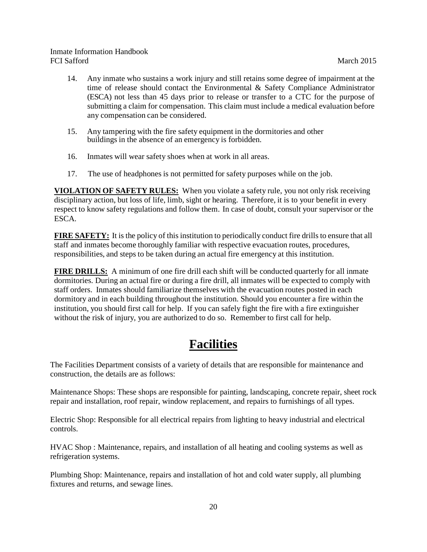- 14. Any inmate who sustains a work injury and still retains some degree of impairment at the time of release should contact the Environmental  $\&$  Safety Compliance Administrator (ESCA) not less than 45 days prior to release or transfer to a CTC for the purpose of submitting a claim for compensation. This claim must include a medical evaluation before any compensation can be considered.
- 15. Any tampering with the fire safety equipment in the dormitories and other buildings in the absence of an emergency is forbidden.
- 16. Inmates will wear safety shoes when at work in all areas.
- 17. The use of headphones is not permitted for safety purposes while on the job.

**VIOLATION OF SAFETY RULES:** When you violate a safety rule, you not only risk receiving disciplinary action, but loss of life, limb, sight or hearing. Therefore, it is to your benefit in every respect to know safety regulations and follow them. In case of doubt, consult your supervisor or the ESCA.

**FIRE SAFETY:** It is the policy of this institution to periodically conduct fire drills to ensure that all staff and inmates become thoroughly familiar with respective evacuation routes, procedures, responsibilities, and steps to be taken during an actual fire emergency at this institution.

**FIRE DRILLS:** A minimum of one fire drill each shift will be conducted quarterly for all inmate dormitories. During an actual fire or during a fire drill, all inmates will be expected to comply with staff orders. Inmates should familiarize themselves with the evacuation routes posted in each dormitory and in each building throughout the institution. Should you encounter a fire within the institution, you should first call for help. If you can safely fight the fire with a fire extinguisher without the risk of injury, you are authorized to do so. Remember to first call for help.

# **Facilities**

The Facilities Department consists of a variety of details that are responsible for maintenance and construction, the details are as follows:

Maintenance Shops: These shops are responsible for painting, landscaping, concrete repair, sheet rock repair and installation, roof repair, window replacement, and repairs to furnishings of all types.

Electric Shop: Responsible for all electrical repairs from lighting to heavy industrial and electrical controls.

HVAC Shop : Maintenance, repairs, and installation of all heating and cooling systems as well as refrigeration systems.

Plumbing Shop: Maintenance, repairs and installation of hot and cold water supply, all plumbing fixtures and returns, and sewage lines.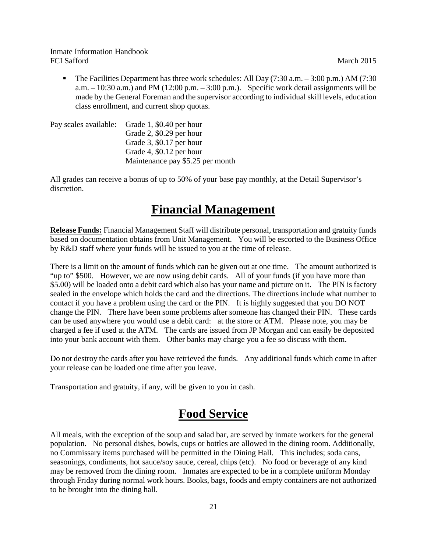The Facilities Department has three work schedules: All Day  $(7:30 \text{ a.m.} - 3:00 \text{ p.m.})$  AM  $(7:30 \text{ a.m.} - 3:00 \text{ p.m.})$ a.m.  $-10:30$  a.m.) and PM (12:00 p.m.  $-3:00$  p.m.). Specific work detail assignments will be made by the General Foreman and the supervisor according to individual skill levels, education class enrollment, and current shop quotas.

| Pay scales available: Grade 1, \$0.40 per hour |
|------------------------------------------------|
| Grade 2, $$0.29$ per hour                      |
| Grade 3, $$0.17$ per hour                      |
| Grade 4, \$0.12 per hour                       |
| Maintenance pay \$5.25 per month               |

All grades can receive a bonus of up to 50% of your base pay monthly, at the Detail Supervisor's discretion.

# **Financial Management**

**Release Funds:** Financial Management Staff will distribute personal, transportation and gratuity funds based on documentation obtains from Unit Management. You will be escorted to the Business Office by R&D staff where your funds will be issued to you at the time of release.

There is a limit on the amount of funds which can be given out at one time. The amount authorized is "up to" \$500. However, we are now using debit cards. All of your funds (if you have more than \$5.00) will be loaded onto a debit card which also has your name and picture on it. The PIN is factory sealed in the envelope which holds the card and the directions. The directions include what number to contact if you have a problem using the card or the PIN. It is highly suggested that you DO NOT change the PIN. There have been some problems after someone has changed their PIN. These cards can be used anywhere you would use a debit card: at the store or ATM. Please note, you may be charged a fee if used at the ATM. The cards are issued from JP Morgan and can easily be deposited into your bank account with them. Other banks may charge you a fee so discuss with them.

Do not destroy the cards after you have retrieved the funds. Any additional funds which come in after your release can be loaded one time after you leave.

Transportation and gratuity, if any, will be given to you in cash.

# **Food Service**

All meals, with the exception of the soup and salad bar, are served by inmate workers for the general population. No personal dishes, bowls, cups or bottles are allowed in the dining room. Additionally, no Commissary items purchased will be permitted in the Dining Hall. This includes; soda cans, seasonings, condiments, hot sauce/soy sauce, cereal, chips (etc). No food or beverage of any kind may be removed from the dining room. Inmates are expected to be in a complete uniform Monday through Friday during normal work hours. Books, bags, foods and empty containers are not authorized to be brought into the dining hall.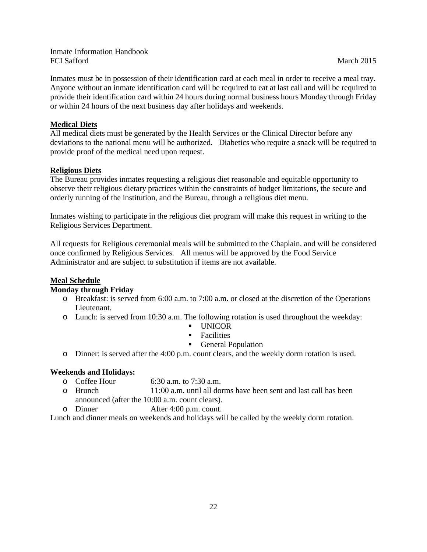Inmates must be in possession of their identification card at each meal in order to receive a meal tray. Anyone without an inmate identification card will be required to eat at last call and will be required to provide their identification card within 24 hours during normal business hours Monday through Friday or within 24 hours of the next business day after holidays and weekends.

# **Medical Diets**

All medical diets must be generated by the Health Services or the Clinical Director before any deviations to the national menu will be authorized. Diabetics who require a snack will be required to provide proof of the medical need upon request.

# **Religious Diets**

The Bureau provides inmates requesting a religious diet reasonable and equitable opportunity to observe their religious dietary practices within the constraints of budget limitations, the secure and orderly running of the institution, and the Bureau, through a religious diet menu.

Inmates wishing to participate in the religious diet program will make this request in writing to the Religious Services Department.

All requests for Religious ceremonial meals will be submitted to the Chaplain, and will be considered once confirmed by Religious Services. All menus will be approved by the Food Service Administrator and are subject to substitution if items are not available.

#### **Meal Schedule**

#### **Monday through Friday**

- o Breakfast: is served from 6:00 a.m. to 7:00 a.m. or closed at the discretion of the Operations Lieutenant.
- o Lunch: is served from 10:30 a.m. The following rotation is used throughout the weekday:
	- **UNICOR**
	- **Facilities**
	- General Population
- o Dinner: is served after the 4:00 p.m. count clears, and the weekly dorm rotation is used.

#### **Weekends and Holidays:**

- o Coffee Hour 6:30 a.m. to 7:30 a.m.<br>
o Brunch 11:00 a.m. until all do
- $11:00$  a.m. until all dorms have been sent and last call has been announced (after the 10:00 a.m. count clears).
- o Dinner After 4:00 p.m. count.

Lunch and dinner meals on weekends and holidays will be called by the weekly dorm rotation.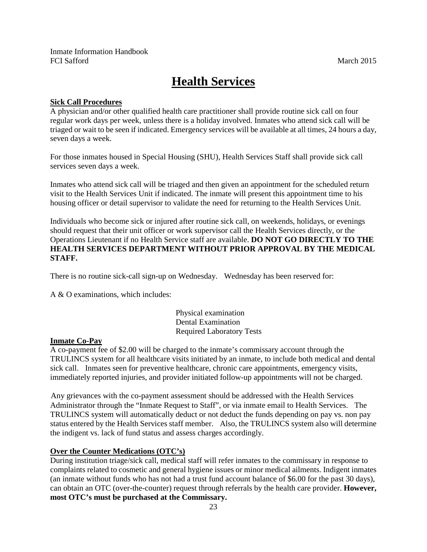# **Health Services**

## **Sick Call Procedures**

A physician and/or other qualified health care practitioner shall provide routine sick call on four regular work days per week, unless there is a holiday involved. Inmates who attend sick call will be triaged or wait to be seen if indicated. Emergency services will be available at all times, 24 hours a day, seven days a week.

For those inmates housed in Special Housing (SHU), Health Services Staff shall provide sick call services seven days a week.

Inmates who attend sick call will be triaged and then given an appointment for the scheduled return visit to the Health Services Unit if indicated. The inmate will present this appointment time to his housing officer or detail supervisor to validate the need for returning to the Health Services Unit.

Individuals who become sick or injured after routine sick call, on weekends, holidays, or evenings should request that their unit officer or work supervisor call the Health Services directly, or the Operations Lieutenant if no Health Service staff are available. **DO NOT GO DIRECTLY TO THE HEALTH SERVICES DEPARTMENT WITHOUT PRIOR APPROVAL BY THE MEDICAL STAFF.**

There is no routine sick-call sign-up on Wednesday. Wednesday has been reserved for:

A & O examinations, which includes:

Physical examination Dental Examination Required Laboratory Tests

# **Inmate Co-Pay**

 A co-payment fee of \$2.00 will be charged to the inmate's commissary account through the TRULINCS system for all healthcare visits initiated by an inmate, to include both medical and dental sick call. Inmates seen for preventive healthcare, chronic care appointments, emergency visits, immediately reported injuries, and provider initiated follow-up appointments will not be charged.

 Any grievances with the co-payment assessment should be addressed with the Health Services Administrator through the "Inmate Request to Staff", or via inmate email to Health Services. The TRULINCS system will automatically deduct or not deduct the funds depending on pay vs. non pay status entered by the Health Services staff member. Also, the TRULINCS system also will determine the indigent vs. lack of fund status and assess charges accordingly.

# **Over the Counter Medications (OTC's)**

During institution triage/sick call, medical staff will refer inmates to the commissary in response to complaints related to cosmetic and general hygiene issues or minor medical ailments. Indigent inmates (an inmate without funds who has not had a trust fund account balance of \$6.00 for the past 30 days), can obtain an OTC (over-the-counter) request through referrals by the health care provider. **However, most OTC's must be purchased at the Commissary.**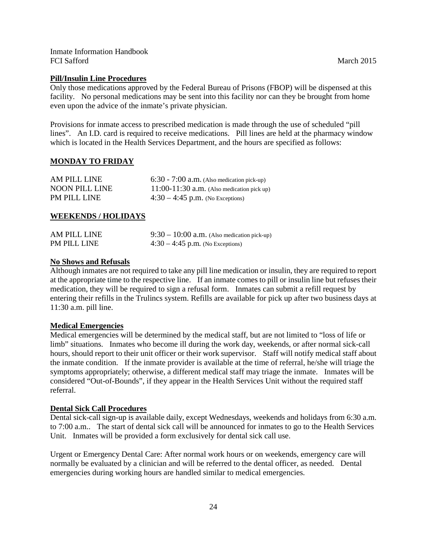#### **Pill/Insulin Line Procedures**

Only those medications approved by the Federal Bureau of Prisons (FBOP) will be dispensed at this facility. No personal medications may be sent into this facility nor can they be brought from home even upon the advice of the inmate's private physician.

Provisions for inmate access to prescribed medication is made through the use of scheduled "pill lines". An I.D. card is required to receive medications. Pill lines are held at the pharmacy window which is located in the Health Services Department, and the hours are specified as follows:

#### **MONDAY TO FRIDAY**

| AM PILL LINE          | $6:30 - 7:00$ a.m. (Also medication pick-up) |
|-----------------------|----------------------------------------------|
| <b>NOON PILL LINE</b> | 11:00-11:30 $a.m.$ (Also medication pick up) |
| <b>PM PILL LINE</b>   | $4:30 - 4:45$ p.m. (No Exceptions)           |

#### **WEEKENDS / HOLIDAYS**

| AM PILL LINE | $9:30-10:00$ a.m. (Also medication pick-up) |
|--------------|---------------------------------------------|
| PM PILL LINE | $4:30 - 4:45$ p.m. (No Exceptions)          |

#### **No Shows and Refusals**

Although inmates are not required to take any pill line medication or insulin, they are required to report at the appropriate time to the respective line. If an inmate comes to pill or insulin line but refuses their medication, they will be required to sign a refusal form. Inmates can submit a refill request by entering their refills in the Trulincs system. Refills are available for pick up after two business days at 11:30 a.m. pill line.

#### **Medical Emergencies**

Medical emergencies will be determined by the medical staff, but are not limited to "loss of life or limb" situations. Inmates who become ill during the work day, weekends, or after normal sick-call hours, should report to their unit officer or their work supervisor. Staff will notify medical staff about the inmate condition. If the inmate provider is available at the time of referral, he/she will triage the symptoms appropriately; otherwise, a different medical staff may triage the inmate. Inmates will be considered "Out-of-Bounds", if they appear in the Health Services Unit without the required staff referral.

#### **Dental Sick Call Procedures**

Dental sick-call sign-up is available daily, except Wednesdays, weekends and holidays from 6:30 a.m. to 7:00 a.m.. The start of dental sick call will be announced for inmates to go to the Health Services Unit. Inmates will be provided a form exclusively for dental sick call use.

Urgent or Emergency Dental Care: After normal work hours or on weekends, emergency care will normally be evaluated by a clinician and will be referred to the dental officer, as needed. Dental emergencies during working hours are handled similar to medical emergencies.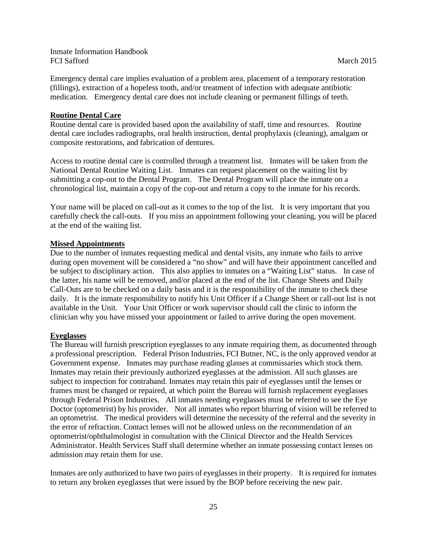Emergency dental care implies evaluation of a problem area, placement of a temporary restoration (fillings), extraction of a hopeless tooth, and/or treatment of infection with adequate antibiotic medication. Emergency dental care does not include cleaning or permanent fillings of teeth.

### **Routine Dental Care**

Routine dental care is provided based upon the availability of staff, time and resources. Routine dental care includes radiographs, oral health instruction, dental prophylaxis (cleaning), amalgam or composite restorations, and fabrication of dentures.

Access to routine dental care is controlled through a treatment list. Inmates will be taken from the National Dental Routine Waiting List. Inmates can request placement on the waiting list by submitting a cop-out to the Dental Program. The Dental Program will place the inmate on a chronological list, maintain a copy of the cop-out and return a copy to the inmate for his records.

Your name will be placed on call-out as it comes to the top of the list. It is very important that you carefully check the call-outs. If you miss an appointment following your cleaning, you will be placed at the end of the waiting list.

#### **Missed Appointments**

Due to the number of inmates requesting medical and dental visits, any inmate who fails to arrive during open movement will be considered a "no show" and will have their appointment cancelled and be subject to disciplinary action. This also applies to inmates on a "Waiting List" status. In case of the latter, his name will be removed, and/or placed at the end of the list. Change Sheets and Daily Call-Outs are to be checked on a daily basis and it is the responsibility of the inmate to check these daily. It is the inmate responsibility to notify his Unit Officer if a Change Sheet or call-out list is not available in the Unit. Your Unit Officer or work supervisor should call the clinic to inform the clinician why you have missed your appointment or failed to arrive during the open movement.

#### **Eyeglasses**

The Bureau will furnish prescription eyeglasses to any inmate requiring them, as documented through a professional prescription. Federal Prison Industries, FCI Butner, NC, is the only approved vendor at Government expense. Inmates may purchase reading glasses at commissaries which stock them. Inmates may retain their previously authorized eyeglasses at the admission. All such glasses are subject to inspection for contraband. Inmates may retain this pair of eyeglasses until the lenses or frames must be changed or repaired, at which point the Bureau will furnish replacement eyeglasses through Federal Prison Industries. All inmates needing eyeglasses must be referred to see the Eye Doctor (optometrist) by his provider. Not all inmates who report blurring of vision will be referred to an optometrist. The medical providers will determine the necessity of the referral and the severity in the error of refraction. Contact lenses will not be allowed unless on the recommendation of an optometrist/ophthalmologist in consultation with the Clinical Director and the Health Services Administrator. Health Services Staff shall determine whether an inmate possessing contact lenses on admission may retain them for use.

Inmates are only authorized to have two pairs of eyeglasses in their property. It is required for inmates to return any broken eyeglasses that were issued by the BOP before receiving the new pair.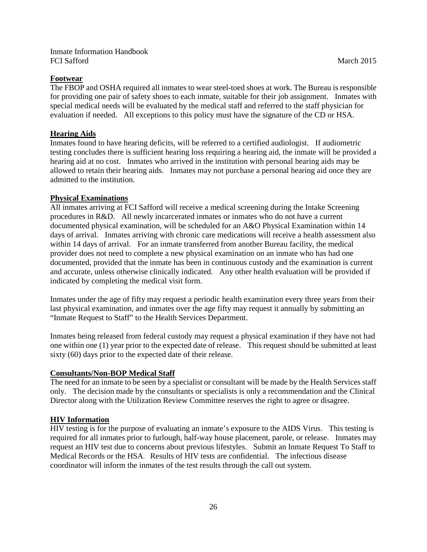#### **Footwear**

The FBOP and OSHA required all inmates to wear steel-toed shoes at work. The Bureau is responsible for providing one pair of safety shoes to each inmate, suitable for their job assignment. Inmates with special medical needs will be evaluated by the medical staff and referred to the staff physician for evaluation if needed. All exceptions to this policy must have the signature of the CD or HSA.

#### **Hearing Aids**

Inmates found to have hearing deficits, will be referred to a certified audiologist. If audiometric testing concludes there is sufficient hearing loss requiring a hearing aid, the inmate will be provided a hearing aid at no cost. Inmates who arrived in the institution with personal hearing aids may be allowed to retain their hearing aids. Inmates may not purchase a personal hearing aid once they are admitted to the institution.

#### **Physical Examinations**

All inmates arriving at FCI Safford will receive a medical screening during the Intake Screening procedures in R&D. All newly incarcerated inmates or inmates who do not have a current documented physical examination, will be scheduled for an A&O Physical Examination within 14 days of arrival. Inmates arriving with chronic care medications will receive a health assessment also within 14 days of arrival. For an inmate transferred from another Bureau facility, the medical provider does not need to complete a new physical examination on an inmate who has had one documented, provided that the inmate has been in continuous custody and the examination is current and accurate, unless otherwise clinically indicated. Any other health evaluation will be provided if indicated by completing the medical visit form.

Inmates under the age of fifty may request a periodic health examination every three years from their last physical examination, and inmates over the age fifty may request it annually by submitting an "Inmate Request to Staff" to the Health Services Department.

Inmates being released from federal custody may request a physical examination if they have not had one within one (1) year prior to the expected date of release. This request should be submitted at least sixty (60) days prior to the expected date of their release.

#### **Consultants/Non-BOP Medical Staff**

The need for an inmate to be seen by a specialist or consultant will be made by the Health Services staff only. The decision made by the consultants or specialists is only a recommendation and the Clinical Director along with the Utilization Review Committee reserves the right to agree or disagree.

## **HIV Information**

HIV testing is for the purpose of evaluating an inmate's exposure to the AIDS Virus. This testing is required for all inmates prior to furlough, half-way house placement, parole, or release. Inmates may request an HIV test due to concerns about previous lifestyles. Submit an Inmate Request To Staff to Medical Records or the HSA. Results of HIV tests are confidential. The infectious disease coordinator will inform the inmates of the test results through the call out system*.*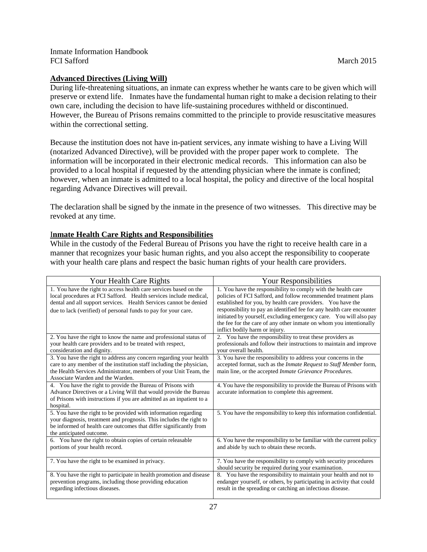# **Advanced Directives (Living Will)**

During life-threatening situations, an inmate can express whether he wants care to be given which will preserve or extend life. Inmates have the fundamental human right to make a decision relating to their own care, including the decision to have life-sustaining procedures withheld or discontinued. However, the Bureau of Prisons remains committed to the principle to provide resuscitative measures within the correctional setting.

Because the institution does not have in-patient services, any inmate wishing to have a Living Will (notarized Advanced Directive), will be provided with the proper paper work to complete. The information will be incorporated in their electronic medical records. This information can also be provided to a local hospital if requested by the attending physician where the inmate is confined; however, when an inmate is admitted to a local hospital, the policy and directive of the local hospital regarding Advance Directives will prevail.

The declaration shall be signed by the inmate in the presence of two witnesses. This directive may be revoked at any time.

## I**nmate Health Care Rights and Responsibilities**

While in the custody of the Federal Bureau of Prisons you have the right to receive health care in a manner that recognizes your basic human rights, and you also accept the responsibility to cooperate with your health care plans and respect the basic human rights of your health care providers.

| Your Health Care Rights                                                                                                                                                                                                                                                       | Your Responsibilities                                                                                                                                                                                                                                                                                                                                                                                                                                  |  |  |  |
|-------------------------------------------------------------------------------------------------------------------------------------------------------------------------------------------------------------------------------------------------------------------------------|--------------------------------------------------------------------------------------------------------------------------------------------------------------------------------------------------------------------------------------------------------------------------------------------------------------------------------------------------------------------------------------------------------------------------------------------------------|--|--|--|
| 1. You have the right to access health care services based on the<br>local procedures at FCI Safford. Health services include medical,<br>dental and all support services. Health Services cannot be denied<br>due to lack (verified) of personal funds to pay for your care. | 1. You have the responsibility to comply with the health care<br>policies of FCI Safford, and follow recommended treatment plans<br>established for you, by health care providers. You have the<br>responsibility to pay an identified fee for any health care encounter<br>initiated by yourself, excluding emergency care. You will also pay<br>the fee for the care of any other inmate on whom you intentionally<br>inflict bodily harm or injury. |  |  |  |
| 2. You have the right to know the name and professional status of<br>your health care providers and to be treated with respect,<br>consideration and dignity.                                                                                                                 | 2. You have the responsibility to treat these providers as<br>professionals and follow their instructions to maintain and improve<br>vour overall health.                                                                                                                                                                                                                                                                                              |  |  |  |
| 3. You have the right to address any concern regarding your health<br>care to any member of the institution staff including the physician,<br>the Health Services Administrator, members of your Unit Team, the<br>Associate Warden and the Warden.                           | 3. You have the responsibility to address your concerns in the<br>accepted format, such as the Inmate Request to Staff Member form,<br>main line, or the accepted Inmate Grievance Procedures.                                                                                                                                                                                                                                                         |  |  |  |
| 4. You have the right to provide the Bureau of Prisons with<br>Advance Directives or a Living Will that would provide the Bureau<br>of Prisons with instructions if you are admitted as an inpatient to a<br>hospital.                                                        | 4. You have the responsibility to provide the Bureau of Prisons with<br>accurate information to complete this agreement.                                                                                                                                                                                                                                                                                                                               |  |  |  |
| 5. You have the right to be provided with information regarding<br>your diagnosis, treatment and prognosis. This includes the right to<br>be informed of health care outcomes that differ significantly from<br>the anticipated outcome.                                      | 5. You have the responsibility to keep this information confidential.                                                                                                                                                                                                                                                                                                                                                                                  |  |  |  |
| 6. You have the right to obtain copies of certain releasable<br>portions of your health record.                                                                                                                                                                               | 6. You have the responsibility to be familiar with the current policy<br>and abide by such to obtain these records.                                                                                                                                                                                                                                                                                                                                    |  |  |  |
| 7. You have the right to be examined in privacy.                                                                                                                                                                                                                              | 7. You have the responsibility to comply with security procedures<br>should security be required during your examination.                                                                                                                                                                                                                                                                                                                              |  |  |  |
| 8. You have the right to participate in health promotion and disease<br>prevention programs, including those providing education<br>regarding infectious diseases.                                                                                                            | 8. You have the responsibility to maintain your health and not to<br>endanger yourself, or others, by participating in activity that could<br>result in the spreading or catching an infectious disease.                                                                                                                                                                                                                                               |  |  |  |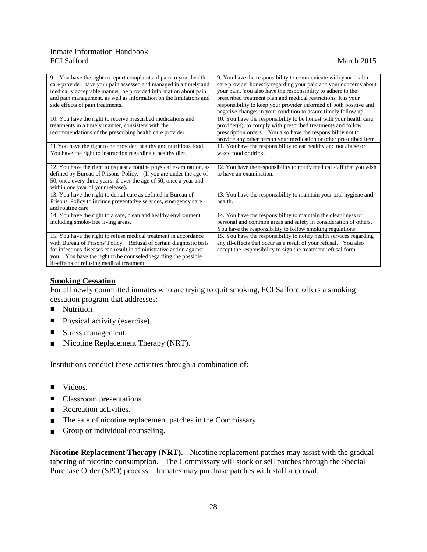| 9. You have the right to report complaints of pain to your health<br>care provider, have your pain assessed and managed in a timely and<br>medically acceptable manner, be provided information about pain<br>and pain management, as well as information on the limitations and<br>side effects of pain treatments.           | 9. You have the responsibility to communicate with your health<br>care provider honestly regarding your pain and your concerns about<br>your pain. You also have the responsibility to adhere to the<br>prescribed treatment plan and medical restrictions. It is your<br>responsibility to keep your provider informed of both positive and<br>negative changes in your condition to assure timely follow up. |
|--------------------------------------------------------------------------------------------------------------------------------------------------------------------------------------------------------------------------------------------------------------------------------------------------------------------------------|----------------------------------------------------------------------------------------------------------------------------------------------------------------------------------------------------------------------------------------------------------------------------------------------------------------------------------------------------------------------------------------------------------------|
| 10. You have the right to receive prescribed medications and<br>treatments in a timely manner, consistent with the<br>recommendations of the prescribing health care provider.                                                                                                                                                 | 10. You have the responsibility to be honest with your health care<br>provider(s), to comply with prescribed treatments and follow<br>prescription orders. You also have the responsibility not to<br>provide any other person your medication or other prescribed item.                                                                                                                                       |
| 11. You have the right to be provided healthy and nutritious food.<br>You have the right to instruction regarding a healthy diet.                                                                                                                                                                                              | 11. You have the responsibility to eat healthy and not abuse or<br>waste food or drink.                                                                                                                                                                                                                                                                                                                        |
| 12. You have the right to request a routine physical examination, as<br>defined by Bureau of Prisons' Policy. (If you are under the age of<br>50, once every three years; if over the age of 50, once a year and<br>within one year of your release).                                                                          | 12. You have the responsibility to notify medical staff that you wish<br>to have an examination.                                                                                                                                                                                                                                                                                                               |
| 13. You have the right to dental care as defined in Bureau of<br>Prisons' Policy to include preventative services, emergency care<br>and routine care.                                                                                                                                                                         | 13. You have the responsibility to maintain your oral hygiene and<br>health.                                                                                                                                                                                                                                                                                                                                   |
| 14. You have the right to a safe, clean and healthy environment,<br>including smoke-free living areas.                                                                                                                                                                                                                         | 14. You have the responsibility to maintain the cleanliness of<br>personal and common areas and safety in consideration of others.<br>You have the responsibility to follow smoking regulations.                                                                                                                                                                                                               |
| 15. You have the right to refuse medical treatment in accordance<br>with Bureau of Prisons' Policy. Refusal of certain diagnostic tests<br>for infectious diseases can result in administrative action against<br>you. You have the right to be counseled regarding the possible<br>ill-effects of refusing medical treatment. | 15. You have the responsibility to notify health services regarding<br>any ill-effects that occur as a result of your refusal. You also<br>accept the responsibility to sign the treatment refusal form.                                                                                                                                                                                                       |

# **Smoking Cessation**

For all newly committed inmates who are trying to quit smoking, FCI Safford offers a smoking cessation program that addresses:

- Nutrition.
- Physical activity (exercise).
- Stress management.
- Nicotine Replacement Therapy (NRT).

Institutions conduct these activities through a combination of:

- Videos.
- Classroom presentations.
- Recreation activities.
- The sale of nicotine replacement patches in the Commissary.
- Group or individual counseling.

**Nicotine Replacement Therapy (NRT).** Nicotine replacement patches may assist with the gradual tapering of nicotine consumption. The Commissary will stock or sell patches through the Special Purchase Order (SPO) process. Inmates may purchase patches with staff approval.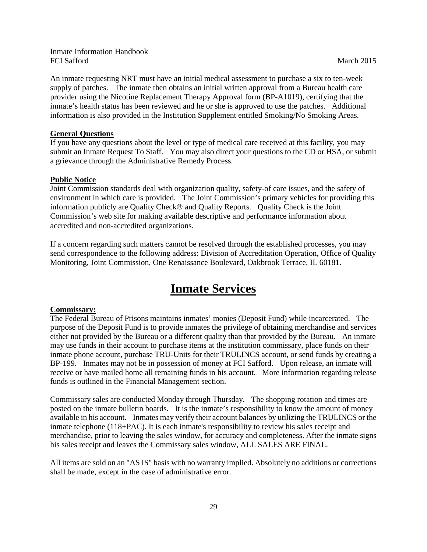An inmate requesting NRT must have an initial medical assessment to purchase a six to ten-week supply of patches. The inmate then obtains an initial written approval from a Bureau health care provider using the Nicotine Replacement Therapy Approval form (BP-A1019), certifying that the inmate's health status has been reviewed and he or she is approved to use the patches. Additional information is also provided in the Institution Supplement entitled Smoking/No Smoking Areas.

#### **General Questions**

If you have any questions about the level or type of medical care received at this facility, you may submit an Inmate Request To Staff. You may also direct your questions to the CD or HSA, or submit a grievance through the Administrative Remedy Process.

#### **Public Notice**

Joint Commission standards deal with organization quality, safety-of care issues, and the safety of environment in which care is provided. The Joint Commission's primary vehicles for providing this information publicly are Quality Check® and Quality Reports. Quality Check is the Joint Commission's web site for making available descriptive and performance information about accredited and non-accredited organizations.

If a concern regarding such matters cannot be resolved through the established processes, you may send correspondence to the following address: Division of Accreditation Operation, Office of Quality Monitoring, Joint Commission, One Renaissance Boulevard, Oakbrook Terrace, IL 60181.

# **Inmate Services**

#### **Commissary:**

The Federal Bureau of Prisons maintains inmates' monies (Deposit Fund) while incarcerated. The purpose of the Deposit Fund is to provide inmates the privilege of obtaining merchandise and services either not provided by the Bureau or a different quality than that provided by the Bureau. An inmate may use funds in their account to purchase items at the institution commissary, place funds on their inmate phone account, purchase TRU-Units for their TRULINCS account, or send funds by creating a BP-199. Inmates may not be in possession of money at FCI Safford. Upon release, an inmate will receive or have mailed home all remaining funds in his account. More information regarding release funds is outlined in the Financial Management section.

Commissary sales are conducted Monday through Thursday. The shopping rotation and times are posted on the inmate bulletin boards. It is the inmate's responsibility to know the amount of money available in his account. Inmates may verify their account balances by utilizing the TRULINCS or the inmate telephone (118+PAC). It is each inmate's responsibility to review his sales receipt and merchandise, prior to leaving the sales window, for accuracy and completeness. After the inmate signs his sales receipt and leaves the Commissary sales window, ALL SALES ARE FINAL.

All items are sold on an "AS IS" basis with no warranty implied. Absolutely no additions or corrections shall be made, except in the case of administrative error.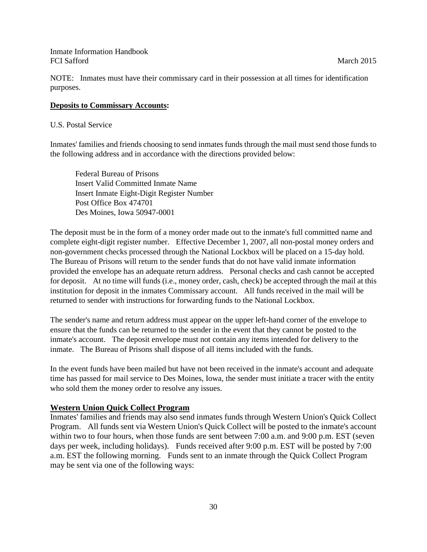NOTE: Inmates must have their commissary card in their possession at all times for identification purposes.

# **Deposits to Commissary Accounts:**

U.S. Postal Service

Inmates' families and friends choosing to send inmates funds through the mail must send those funds to the following address and in accordance with the directions provided below:

Federal Bureau of Prisons Insert Valid Committed Inmate Name Insert Inmate Eight-Digit Register Number Post Office Box 474701 Des Moines, Iowa 50947-0001

The deposit must be in the form of a money order made out to the inmate's full committed name and complete eight-digit register number. Effective December 1, 2007, all non-postal money orders and non-government checks processed through the National Lockbox will be placed on a 15-day hold. The Bureau of Prisons will return to the sender funds that do not have valid inmate information provided the envelope has an adequate return address. Personal checks and cash cannot be accepted for deposit. At no time will funds (i.e., money order, cash, check) be accepted through the mail at this institution for deposit in the inmates Commissary account. All funds received in the mail will be returned to sender with instructions for forwarding funds to the National Lockbox.

The sender's name and return address must appear on the upper left-hand corner of the envelope to ensure that the funds can be returned to the sender in the event that they cannot be posted to the inmate's account. The deposit envelope must not contain any items intended for delivery to the inmate. The Bureau of Prisons shall dispose of all items included with the funds.

In the event funds have been mailed but have not been received in the inmate's account and adequate time has passed for mail service to Des Moines, Iowa, the sender must initiate a tracer with the entity who sold them the money order to resolve any issues.

# **Western Union Quick Collect Program**

Inmates' families and friends may also send inmates funds through Western Union's Quick Collect Program. All funds sent via Western Union's Quick Collect will be posted to the inmate's account within two to four hours, when those funds are sent between 7:00 a.m. and 9:00 p.m. EST (seven days per week, including holidays). Funds received after 9:00 p.m. EST will be posted by 7:00 a.m. EST the following morning. Funds sent to an inmate through the Quick Collect Program may be sent via one of the following ways: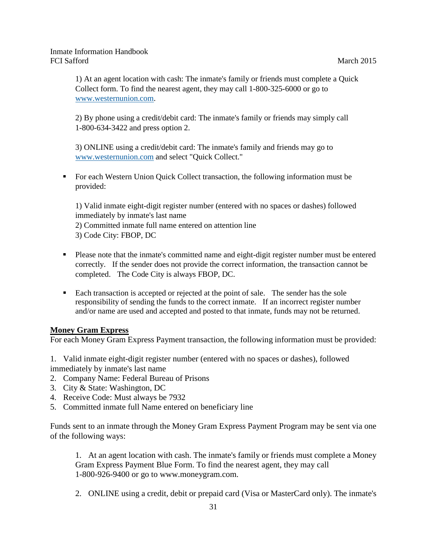1) At an agent location with cash: The inmate's family or friends must complete a Quick Collect form. To find the nearest agent, they may call 1-800-325-6000 or go to [www.westernunion.com.](http://www.bop.gov/disclaimer.jsp?url=www.westernunion.com/index_consumer.asp?country=US)

2) By phone using a credit/debit card: The inmate's family or friends may simply call 1-800-634-3422 and press option 2.

3) ONLINE using a credit/debit card: The inmate's family and friends may go to [www.westernunion.com](http://www.bop.gov/disclaimer.jsp?url=https://wumt.westernunion.com/asp/qcreceiver.asp?RCP_CODE_CITY=FBOP) and select "Quick Collect."

 For each Western Union Quick Collect transaction, the following information must be provided:

1) Valid inmate eight-digit register number (entered with no spaces or dashes) followed immediately by inmate's last name 2) Committed inmate full name entered on attention line 3) Code City: FBOP, DC

- **Please note that the inmate's committed name and eight-digit register number must be entered** correctly. If the sender does not provide the correct information, the transaction cannot be completed. The Code City is always FBOP, DC.
- Each transaction is accepted or rejected at the point of sale. The sender has the sole responsibility of sending the funds to the correct inmate. If an incorrect register number and/or name are used and accepted and posted to that inmate, funds may not be returned.

# **Money Gram Express**

For each Money Gram Express Payment transaction, the following information must be provided:

- 1. Valid inmate eight-digit register number (entered with no spaces or dashes), followed immediately by inmate's last name
- 2. Company Name: Federal Bureau of Prisons
- 3. City & State: Washington, DC
- 4. Receive Code: Must always be 7932
- 5. Committed inmate full Name entered on beneficiary line

Funds sent to an inmate through the Money Gram Express Payment Program may be sent via one of the following ways:

1. At an agent location with cash. The inmate's family or friends must complete a Money Gram Express Payment Blue Form. To find the nearest agent, they may call 1-800-926-9400 or go to www.moneygram.com.

2. ONLINE using a credit, debit or prepaid card (Visa or MasterCard only). The inmate's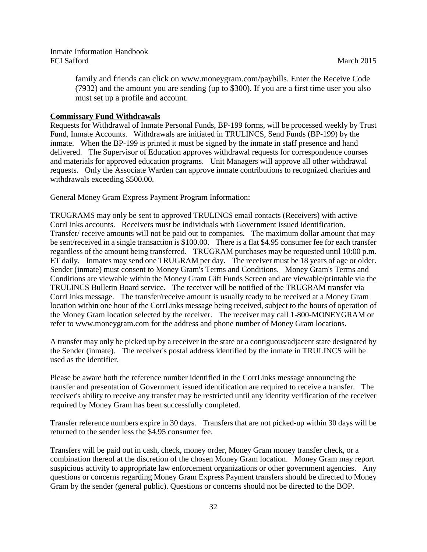family and friends can click on www.moneygram.com/paybills. Enter the Receive Code (7932) and the amount you are sending (up to \$300). If you are a first time user you also must set up a profile and account.

#### **Commissary Fund Withdrawals**

Requests for Withdrawal of Inmate Personal Funds, BP-199 forms, will be processed weekly by Trust Fund, Inmate Accounts. Withdrawals are initiated in TRULINCS, Send Funds (BP-199) by the inmate. When the BP-199 is printed it must be signed by the inmate in staff presence and hand delivered. The Supervisor of Education approves withdrawal requests for correspondence courses and materials for approved education programs. Unit Managers will approve all other withdrawal requests. Only the Associate Warden can approve inmate contributions to recognized charities and withdrawals exceeding \$500.00.

General Money Gram Express Payment Program Information:

TRUGRAMS may only be sent to approved TRULINCS email contacts (Receivers) with active CorrLinks accounts. Receivers must be individuals with Government issued identification. Transfer/ receive amounts will not be paid out to companies. The maximum dollar amount that may be sent/received in a single transaction is \$100.00. There is a flat \$4.95 consumer fee for each transfer regardless of the amount being transferred. TRUGRAM purchases may be requested until 10:00 p.m. ET daily. Inmates may send one TRUGRAM per day. The receiver must be 18 years of age or older. Sender (inmate) must consent to Money Gram's Terms and Conditions. Money Gram's Terms and Conditions are viewable within the Money Gram Gift Funds Screen and are viewable/printable via the TRULINCS Bulletin Board service. The receiver will be notified of the TRUGRAM transfer via CorrLinks message. The transfer/receive amount is usually ready to be received at a Money Gram location within one hour of the CorrLinks message being received, subject to the hours of operation of the Money Gram location selected by the receiver. The receiver may call 1-800-MONEYGRAM or refer to www.moneygram.com for the address and phone number of Money Gram locations.

A transfer may only be picked up by a receiver in the state or a contiguous/adjacent state designated by the Sender (inmate). The receiver's postal address identified by the inmate in TRULINCS will be used as the identifier.

Please be aware both the reference number identified in the CorrLinks message announcing the transfer and presentation of Government issued identification are required to receive a transfer. The receiver's ability to receive any transfer may be restricted until any identity verification of the receiver required by Money Gram has been successfully completed.

Transfer reference numbers expire in 30 days. Transfers that are not picked-up within 30 days will be returned to the sender less the \$4.95 consumer fee.

Transfers will be paid out in cash, check, money order, Money Gram money transfer check, or a combination thereof at the discretion of the chosen Money Gram location. Money Gram may report suspicious activity to appropriate law enforcement organizations or other government agencies. Any questions or concerns regarding Money Gram Express Payment transfers should be directed to Money Gram by the sender (general public). Questions or concerns should not be directed to the BOP.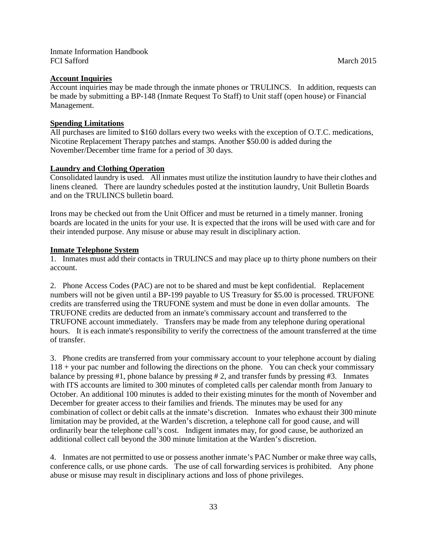#### **Account Inquiries**

Account inquiries may be made through the inmate phones or TRULINCS. In addition, requests can be made by submitting a BP-148 (Inmate Request To Staff) to Unit staff (open house) or Financial Management.

#### **Spending Limitations**

All purchases are limited to \$160 dollars every two weeks with the exception of O.T.C. medications, Nicotine Replacement Therapy patches and stamps. Another \$50.00 is added during the November/December time frame for a period of 30 days.

#### **Laundry and Clothing Operation**

Consolidated laundry is used. All inmates must utilize the institution laundry to have their clothes and linens cleaned. There are laundry schedules posted at the institution laundry, Unit Bulletin Boards and on the TRULINCS bulletin board.

Irons may be checked out from the Unit Officer and must be returned in a timely manner. Ironing boards are located in the units for your use. It is expected that the irons will be used with care and for their intended purpose. Any misuse or abuse may result in disciplinary action.

#### **Inmate Telephone System**

1. Inmates must add their contacts in TRULINCS and may place up to thirty phone numbers on their account.

2. Phone Access Codes (PAC) are not to be shared and must be kept confidential. Replacement numbers will not be given until a BP-199 payable to US Treasury for \$5.00 is processed. TRUFONE credits are transferred using the TRUFONE system and must be done in even dollar amounts. The TRUFONE credits are deducted from an inmate's commissary account and transferred to the TRUFONE account immediately. Transfers may be made from any telephone during operational hours. It is each inmate's responsibility to verify the correctness of the amount transferred at the time of transfer.

3. Phone credits are transferred from your commissary account to your telephone account by dialing 118 + your pac number and following the directions on the phone. You can check your commissary balance by pressing #1, phone balance by pressing # 2, and transfer funds by pressing #3. Inmates with ITS accounts are limited to 300 minutes of completed calls per calendar month from January to October. An additional 100 minutes is added to their existing minutes for the month of November and December for greater access to their families and friends. The minutes may be used for any combination of collect or debit calls at the inmate's discretion. Inmates who exhaust their 300 minute limitation may be provided, at the Warden's discretion, a telephone call for good cause, and will ordinarily bear the telephone call's cost. Indigent inmates may, for good cause, be authorized an additional collect call beyond the 300 minute limitation at the Warden's discretion.

4. Inmates are not permitted to use or possess another inmate's PAC Number or make three way calls, conference calls, or use phone cards. The use of call forwarding services is prohibited. Any phone abuse or misuse may result in disciplinary actions and loss of phone privileges.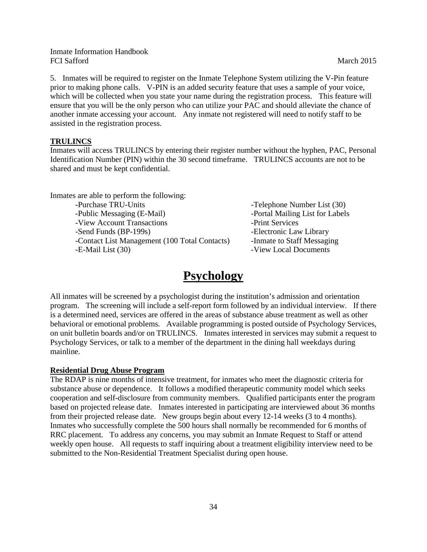5. Inmates will be required to register on the Inmate Telephone System utilizing the V-Pin feature prior to making phone calls. V-PIN is an added security feature that uses a sample of your voice, which will be collected when you state your name during the registration process. This feature will ensure that you will be the only person who can utilize your PAC and should alleviate the chance of another inmate accessing your account. Any inmate not registered will need to notify staff to be assisted in the registration process.

## **TRULINCS**

Inmates will access TRULINCS by entering their register number without the hyphen, PAC, Personal Identification Number (PIN) within the 30 second timeframe. TRULINCS accounts are not to be shared and must be kept confidential.

Inmates are able to perform the following: -Purchase TRU-Units -Telephone Number List (30) -Public Messaging (E-Mail) -Portal Mailing List for Labels -View Account Transactions -Print Services -Send Funds (BP-199s) -Electronic Law Library -Contact List Management (100 Total Contacts) -Inmate to Staff Messaging -E-Mail List (30) **-View Local Documents** 

# **Psychology**

All inmates will be screened by a psychologist during the institution's admission and orientation program. The screening will include a self-report form followed by an individual interview. If there is a determined need, services are offered in the areas of substance abuse treatment as well as other behavioral or emotional problems. Available programming is posted outside of Psychology Services, on unit bulletin boards and/or on TRULINCS. Inmates interested in services may submit a request to Psychology Services, or talk to a member of the department in the dining hall weekdays during mainline.

#### **Residential Drug Abuse Program**

The RDAP is nine months of intensive treatment, for inmates who meet the diagnostic criteria for substance abuse or dependence. It follows a modified therapeutic community model which seeks cooperation and self-disclosure from community members. Qualified participants enter the program based on projected release date. Inmates interested in participating are interviewed about 36 months from their projected release date. New groups begin about every 12-14 weeks (3 to 4 months). Inmates who successfully complete the 500 hours shall normally be recommended for 6 months of RRC placement. To address any concerns, you may submit an Inmate Request to Staff or attend weekly open house. All requests to staff inquiring about a treatment eligibility interview need to be submitted to the Non-Residential Treatment Specialist during open house.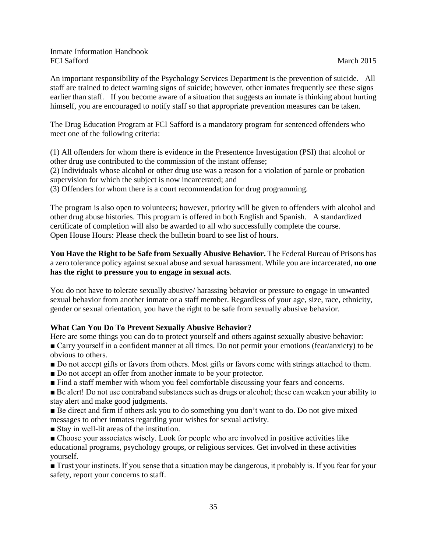An important responsibility of the Psychology Services Department is the prevention of suicide. All staff are trained to detect warning signs of suicide; however, other inmates frequently see these signs earlier than staff. If you become aware of a situation that suggests an inmate is thinking about hurting himself, you are encouraged to notify staff so that appropriate prevention measures can be taken.

The Drug Education Program at FCI Safford is a mandatory program for sentenced offenders who meet one of the following criteria:

(1) All offenders for whom there is evidence in the Presentence Investigation (PSI) that alcohol or other drug use contributed to the commission of the instant offense;

(2) Individuals whose alcohol or other drug use was a reason for a violation of parole or probation supervision for which the subject is now incarcerated; and

(3) Offenders for whom there is a court recommendation for drug programming.

The program is also open to volunteers; however, priority will be given to offenders with alcohol and other drug abuse histories. This program is offered in both English and Spanish. A standardized certificate of completion will also be awarded to all who successfully complete the course. Open House Hours: Please check the bulletin board to see list of hours.

**You Have the Right to be Safe from Sexually Abusive Behavior.** The Federal Bureau of Prisons has a zero tolerance policy against sexual abuse and sexual harassment. While you are incarcerated, **no one has the right to pressure you to engage in sexual acts**.

You do not have to tolerate sexually abusive/ harassing behavior or pressure to engage in unwanted sexual behavior from another inmate or a staff member. Regardless of your age, size, race, ethnicity, gender or sexual orientation, you have the right to be safe from sexually abusive behavior.

# **What Can You Do To Prevent Sexually Abusive Behavior?**

Here are some things you can do to protect yourself and others against sexually abusive behavior: ■ Carry yourself in a confident manner at all times. Do not permit your emotions (fear/anxiety) to be obvious to others.

- Do not accept gifts or favors from others. Most gifts or favors come with strings attached to them.
- Do not accept an offer from another inmate to be your protector.
- Find a staff member with whom you feel comfortable discussing your fears and concerns.

■ Be alert! Do not use contraband substances such as drugs or alcohol; these can weaken your ability to stay alert and make good judgments.

■ Be direct and firm if others ask you to do something you don't want to do. Do not give mixed messages to other inmates regarding your wishes for sexual activity.

■ Stay in well-lit areas of the institution.

■ Choose your associates wisely. Look for people who are involved in positive activities like educational programs, psychology groups, or religious services. Get involved in these activities yourself.

■ Trust your instincts. If you sense that a situation may be dangerous, it probably is. If you fear for your safety, report your concerns to staff.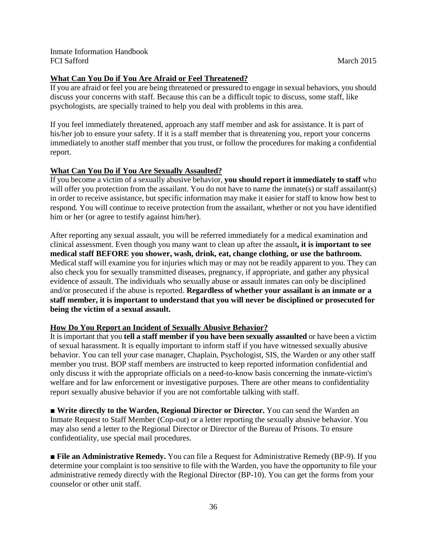If you are afraid or feel you are being threatened or pressured to engage in sexual behaviors, you should discuss your concerns with staff. Because this can be a difficult topic to discuss, some staff, like psychologists, are specially trained to help you deal with problems in this area.

If you feel immediately threatened, approach any staff member and ask for assistance. It is part of his/her job to ensure your safety. If it is a staff member that is threatening you, report your concerns immediately to another staff member that you trust, or follow the procedures for making a confidential report.

# **What Can You Do if You Are Sexually Assaulted?**

If you become a victim of a sexually abusive behavior, **you should report it immediately to staff** who will offer you protection from the assailant. You do not have to name the inmate(s) or staff assailant(s) in order to receive assistance, but specific information may make it easier for staff to know how best to respond. You will continue to receive protection from the assailant, whether or not you have identified him or her (or agree to testify against him/her).

After reporting any sexual assault, you will be referred immediately for a medical examination and clinical assessment. Even though you many want to clean up after the assault**, it is important to see medical staff BEFORE you shower, wash, drink, eat, change clothing, or use the bathroom.**  Medical staff will examine you for injuries which may or may not be readily apparent to you. They can also check you for sexually transmitted diseases, pregnancy, if appropriate, and gather any physical evidence of assault. The individuals who sexually abuse or assault inmates can only be disciplined and/or prosecuted if the abuse is reported. **Regardless of whether your assailant is an inmate or a staff member, it is important to understand that you will never be disciplined or prosecuted for being the victim of a sexual assault.**

# **How Do You Report an Incident of Sexually Abusive Behavior?**

It is important that you **tell a staff member if you have been sexually assaulted** or have been a victim of sexual harassment. It is equally important to inform staff if you have witnessed sexually abusive behavior. You can tell your case manager, Chaplain, Psychologist, SIS, the Warden or any other staff member you trust. BOP staff members are instructed to keep reported information confidential and only discuss it with the appropriate officials on a need-to-know basis concerning the inmate-victim's welfare and for law enforcement or investigative purposes. There are other means to confidentiality report sexually abusive behavior if you are not comfortable talking with staff.

■ **Write directly to the Warden, Regional Director or Director.** You can send the Warden an Inmate Request to Staff Member (Cop-out) or a letter reporting the sexually abusive behavior. You may also send a letter to the Regional Director or Director of the Bureau of Prisons. To ensure confidentiality, use special mail procedures.

■ **File an Administrative Remedy.** You can file a Request for Administrative Remedy (BP-9). If you determine your complaint is too sensitive to file with the Warden, you have the opportunity to file your administrative remedy directly with the Regional Director (BP-10). You can get the forms from your counselor or other unit staff.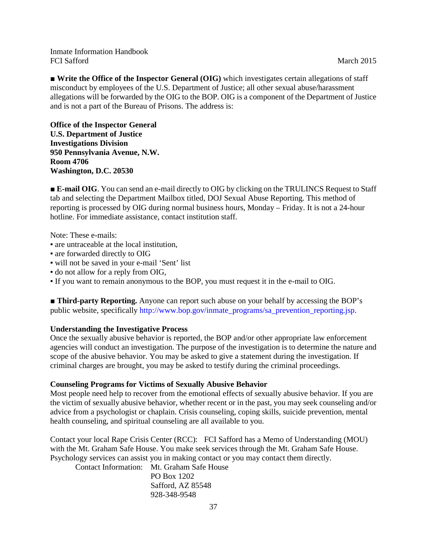■ **Write the Office of the Inspector General (OIG)** which investigates certain allegations of staff misconduct by employees of the U.S. Department of Justice; all other sexual abuse/harassment allegations will be forwarded by the OIG to the BOP. OIG is a component of the Department of Justice and is not a part of the Bureau of Prisons. The address is:

**Office of the Inspector General U.S. Department of Justice Investigations Division 950 Pennsylvania Avenue, N.W. Room 4706 Washington, D.C. 20530** 

■ **E-mail OIG**. You can send an e-mail directly to OIG by clicking on the TRULINCS Request to Staff tab and selecting the Department Mailbox titled, DOJ Sexual Abuse Reporting. This method of reporting is processed by OIG during normal business hours, Monday – Friday. It is not a 24-hour hotline. For immediate assistance, contact institution staff.

Note: These e-mails:

- are untraceable at the local institution,
- are forwarded directly to OIG
- will not be saved in your e-mail 'Sent' list
- do not allow for a reply from OIG,
- If you want to remain anonymous to the BOP, you must request it in the e-mail to OIG.

■ **Third-party Reporting.** Anyone can report such abuse on your behalf by accessing the BOP's public website, specifically http://www.bop.gov/inmate\_programs/sa\_prevention\_reporting.jsp.

#### **Understanding the Investigative Process**

Once the sexually abusive behavior is reported, the BOP and/or other appropriate law enforcement agencies will conduct an investigation. The purpose of the investigation is to determine the nature and scope of the abusive behavior. You may be asked to give a statement during the investigation. If criminal charges are brought, you may be asked to testify during the criminal proceedings.

#### **Counseling Programs for Victims of Sexually Abusive Behavior**

Most people need help to recover from the emotional effects of sexually abusive behavior. If you are the victim of sexually abusive behavior, whether recent or in the past, you may seek counseling and/or advice from a psychologist or chaplain. Crisis counseling, coping skills, suicide prevention, mental health counseling, and spiritual counseling are all available to you.

Contact your local Rape Crisis Center (RCC): FCI Safford has a Memo of Understanding (MOU) with the Mt. Graham Safe House. You make seek services through the Mt. Graham Safe House. Psychology services can assist you in making contact or you may contact them directly.

Contact Information: Mt. Graham Safe House

PO Box 1202 Safford, AZ 85548 928-348-9548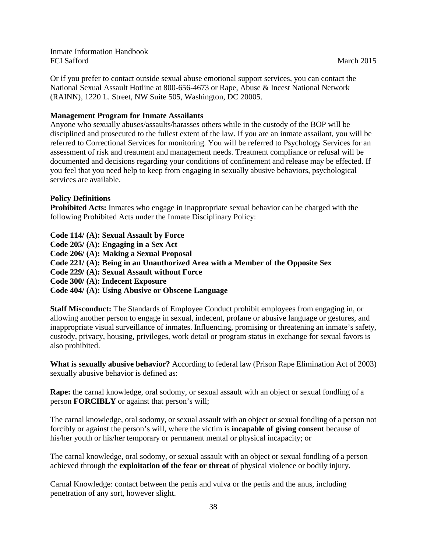Or if you prefer to contact outside sexual abuse emotional support services, you can contact the National Sexual Assault Hotline at 800-656-4673 or Rape, Abuse & Incest National Network (RAINN), 1220 L. Street, NW Suite 505, Washington, DC 20005.

### **Management Program for Inmate Assailants**

Anyone who sexually abuses/assaults/harasses others while in the custody of the BOP will be disciplined and prosecuted to the fullest extent of the law. If you are an inmate assailant, you will be referred to Correctional Services for monitoring. You will be referred to Psychology Services for an assessment of risk and treatment and management needs. Treatment compliance or refusal will be documented and decisions regarding your conditions of confinement and release may be effected. If you feel that you need help to keep from engaging in sexually abusive behaviors, psychological services are available.

## **Policy Definitions**

**Prohibited Acts:** Inmates who engage in inappropriate sexual behavior can be charged with the following Prohibited Acts under the Inmate Disciplinary Policy:

**Code 114/ (A): Sexual Assault by Force Code 205/ (A): Engaging in a Sex Act Code 206/ (A): Making a Sexual Proposal Code 221/ (A): Being in an Unauthorized Area with a Member of the Opposite Sex Code 229/ (A): Sexual Assault without Force Code 300/ (A): Indecent Exposure Code 404/ (A): Using Abusive or Obscene Language** 

**Staff Misconduct:** The Standards of Employee Conduct prohibit employees from engaging in, or allowing another person to engage in sexual, indecent, profane or abusive language or gestures, and inappropriate visual surveillance of inmates. Influencing, promising or threatening an inmate's safety, custody, privacy, housing, privileges, work detail or program status in exchange for sexual favors is also prohibited.

**What is sexually abusive behavior?** According to federal law (Prison Rape Elimination Act of 2003) sexually abusive behavior is defined as:

**Rape:** the carnal knowledge, oral sodomy, or sexual assault with an object or sexual fondling of a person **FORCIBLY** or against that person's will;

The carnal knowledge, oral sodomy, or sexual assault with an object or sexual fondling of a person not forcibly or against the person's will, where the victim is **incapable of giving consent** because of his/her youth or his/her temporary or permanent mental or physical incapacity; or

The carnal knowledge, oral sodomy, or sexual assault with an object or sexual fondling of a person achieved through the **exploitation of the fear or threat** of physical violence or bodily injury.

Carnal Knowledge: contact between the penis and vulva or the penis and the anus, including penetration of any sort, however slight.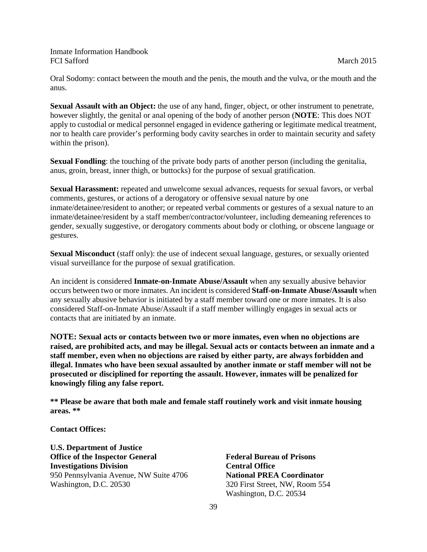Oral Sodomy: contact between the mouth and the penis, the mouth and the vulva, or the mouth and the anus.

**Sexual Assault with an Object:** the use of any hand, finger, object, or other instrument to penetrate, however slightly, the genital or anal opening of the body of another person (**NOTE**: This does NOT apply to custodial or medical personnel engaged in evidence gathering or legitimate medical treatment, nor to health care provider's performing body cavity searches in order to maintain security and safety within the prison).

**Sexual Fondling**: the touching of the private body parts of another person (including the genitalia, anus, groin, breast, inner thigh, or buttocks) for the purpose of sexual gratification.

**Sexual Harassment:** repeated and unwelcome sexual advances, requests for sexual favors, or verbal comments, gestures, or actions of a derogatory or offensive sexual nature by one inmate/detainee/resident to another; or repeated verbal comments or gestures of a sexual nature to an inmate/detainee/resident by a staff member/contractor/volunteer, including demeaning references to gender, sexually suggestive, or derogatory comments about body or clothing, or obscene language or gestures.

**Sexual Misconduct** (staff only): the use of indecent sexual language, gestures, or sexually oriented visual surveillance for the purpose of sexual gratification.

An incident is considered **Inmate-on-Inmate Abuse/Assault** when any sexually abusive behavior occurs between two or more inmates. An incident is considered **Staff-on-Inmate Abuse/Assault** when any sexually abusive behavior is initiated by a staff member toward one or more inmates. It is also considered Staff-on-Inmate Abuse/Assault if a staff member willingly engages in sexual acts or contacts that are initiated by an inmate.

**NOTE: Sexual acts or contacts between two or more inmates, even when no objections are raised, are prohibited acts, and may be illegal. Sexual acts or contacts between an inmate and a staff member, even when no objections are raised by either party, are always forbidden and illegal. Inmates who have been sexual assaulted by another inmate or staff member will not be prosecuted or disciplined for reporting the assault. However, inmates will be penalized for knowingly filing any false report.**

**\*\* Please be aware that both male and female staff routinely work and visit inmate housing areas. \*\*** 

**Contact Offices:**

**U.S. Department of Justice Office of the Inspector General Investigations Division**  950 Pennsylvania Avenue, NW Suite 4706 Washington, D.C. 20530

**Federal Bureau of Prisons Central Office National PREA Coordinator**  320 First Street, NW, Room 554 Washington, D.C. 20534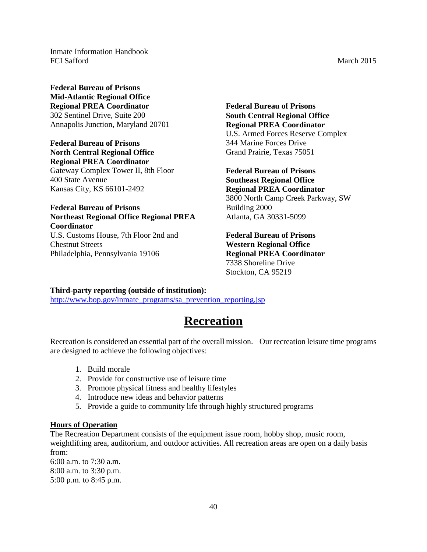**Federal Bureau of Prisons Mid-Atlantic Regional Office Regional PREA Coordinator**  302 Sentinel Drive, Suite 200 Annapolis Junction, Maryland 20701

**Federal Bureau of Prisons North Central Regional Office Regional PREA Coordinator** 

Gateway Complex Tower II, 8th Floor 400 State Avenue Kansas City, KS 66101-2492

**Federal Bureau of Prisons Northeast Regional Office Regional PREA Coordinator**  U.S. Customs House, 7th Floor 2nd and Chestnut Streets Philadelphia, Pennsylvania 19106

**Federal Bureau of Prisons South Central Regional Office Regional PREA Coordinator**  U.S. Armed Forces Reserve Complex 344 Marine Forces Drive Grand Prairie, Texas 75051

**Federal Bureau of Prisons Southeast Regional Office Regional PREA Coordinator**  3800 North Camp Creek Parkway, SW Building 2000 Atlanta, GA 30331-5099

**Federal Bureau of Prisons Western Regional Office Regional PREA Coordinator**  7338 Shoreline Drive Stockton, CA 95219

#### **Third-party reporting (outside of institution):**

[http://www.bop.gov/inmate\\_programs/sa\\_prevention\\_reporting.jsp](http://www.bop.gov/inmate_programs/sa_prevention_reporting.jsp)

# **Recreation**

Recreation is considered an essential part of the overall mission. Our recreation leisure time programs are designed to achieve the following objectives:

- 1. Build morale
- 2. Provide for constructive use of leisure time
- 3. Promote physical fitness and healthy lifestyles
- 4. Introduce new ideas and behavior patterns
- 5. Provide a guide to community life through highly structured programs

#### **Hours of Operation**

The Recreation Department consists of the equipment issue room, hobby shop, music room, weightlifting area, auditorium, and outdoor activities. All recreation areas are open on a daily basis from:

6:00 a.m. to 7:30 a.m. 8:00 a.m. to 3:30 p.m. 5:00 p.m. to 8:45 p.m.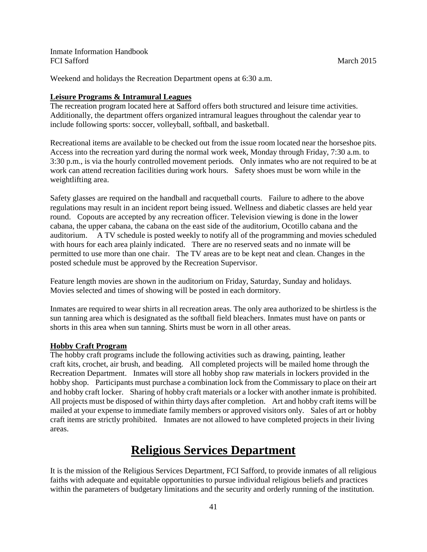Weekend and holidays the Recreation Department opens at 6:30 a.m.

## **Leisure Programs & Intramural Leagues**

The recreation program located here at Safford offers both structured and leisure time activities. Additionally, the department offers organized intramural leagues throughout the calendar year to include following sports: soccer, volleyball, softball, and basketball.

Recreational items are available to be checked out from the issue room located near the horseshoe pits. Access into the recreation yard during the normal work week, Monday through Friday, 7:30 a.m. to 3:30 p.m., is via the hourly controlled movement periods. Only inmates who are not required to be at work can attend recreation facilities during work hours. Safety shoes must be worn while in the weightlifting area.

Safety glasses are required on the handball and racquetball courts. Failure to adhere to the above regulations may result in an incident report being issued. Wellness and diabetic classes are held year round. Copouts are accepted by any recreation officer. Television viewing is done in the lower cabana, the upper cabana, the cabana on the east side of the auditorium, Ocotillo cabana and the auditorium. A TV schedule is posted weekly to notify all of the programming and movies scheduled with hours for each area plainly indicated. There are no reserved seats and no inmate will be permitted to use more than one chair. The TV areas are to be kept neat and clean. Changes in the posted schedule must be approved by the Recreation Supervisor.

Feature length movies are shown in the auditorium on Friday, Saturday, Sunday and holidays. Movies selected and times of showing will be posted in each dormitory.

Inmates are required to wear shirts in all recreation areas. The only area authorized to be shirtless is the sun tanning area which is designated as the softball field bleachers. Inmates must have on pants or shorts in this area when sun tanning. Shirts must be worn in all other areas.

#### **Hobby Craft Program**

The hobby craft programs include the following activities such as drawing, painting, leather craft kits, crochet, air brush, and beading. All completed projects will be mailed home through the Recreation Department. Inmates will store all hobby shop raw materials in lockers provided in the hobby shop. Participants must purchase a combination lock from the Commissary to place on their art and hobby craft locker. Sharing of hobby craft materials or a locker with another inmate is prohibited. All projects must be disposed of within thirty days after completion. Art and hobby craft items will be mailed at your expense to immediate family members or approved visitors only. Sales of art or hobby craft items are strictly prohibited. Inmates are not allowed to have completed projects in their living areas.

# **Religious Services Department**

It is the mission of the Religious Services Department, FCI Safford, to provide inmates of all religious faiths with adequate and equitable opportunities to pursue individual religious beliefs and practices within the parameters of budgetary limitations and the security and orderly running of the institution.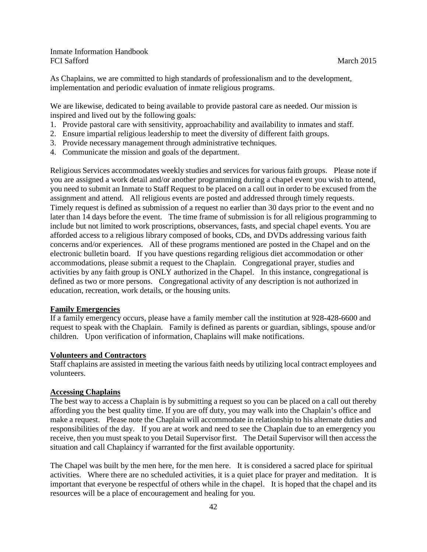As Chaplains, we are committed to high standards of professionalism and to the development, implementation and periodic evaluation of inmate religious programs.

We are likewise, dedicated to being available to provide pastoral care as needed. Our mission is inspired and lived out by the following goals:

- 1. Provide pastoral care with sensitivity, approachability and availability to inmates and staff.
- 2. Ensure impartial religious leadership to meet the diversity of different faith groups.
- 3. Provide necessary management through administrative techniques.
- 4. Communicate the mission and goals of the department.

Religious Services accommodates weekly studies and services for various faith groups. Please note if you are assigned a work detail and/or another programming during a chapel event you wish to attend, you need to submit an Inmate to Staff Request to be placed on a call out in order to be excused from the assignment and attend. All religious events are posted and addressed through timely requests. Timely request is defined as submission of a request no earlier than 30 days prior to the event and no later than 14 days before the event. The time frame of submission is for all religious programming to include but not limited to work proscriptions, observances, fasts, and special chapel events. You are afforded access to a religious library composed of books, CDs, and DVDs addressing various faith concerns and/or experiences. All of these programs mentioned are posted in the Chapel and on the electronic bulletin board. If you have questions regarding religious diet accommodation or other accommodations, please submit a request to the Chaplain. Congregational prayer, studies and activities by any faith group is ONLY authorized in the Chapel. In this instance, congregational is defined as two or more persons. Congregational activity of any description is not authorized in education, recreation, work details, or the housing units.

#### **Family Emergencies**

If a family emergency occurs, please have a family member call the institution at 928-428-6600 and request to speak with the Chaplain. Family is defined as parents or guardian, siblings, spouse and/or children. Upon verification of information, Chaplains will make notifications.

#### **Volunteers and Contractors**

Staff chaplains are assisted in meeting the various faith needs by utilizing local contract employees and volunteers.

## **Accessing Chaplains**

The best way to access a Chaplain is by submitting a request so you can be placed on a call out thereby affording you the best quality time. If you are off duty, you may walk into the Chaplain's office and make a request. Please note the Chaplain will accommodate in relationship to his alternate duties and responsibilities of the day. If you are at work and need to see the Chaplain due to an emergency you receive, then you must speak to you Detail Supervisor first. The Detail Supervisor will then access the situation and call Chaplaincy if warranted for the first available opportunity.

The Chapel was built by the men here, for the men here. It is considered a sacred place for spiritual activities. Where there are no scheduled activities, it is a quiet place for prayer and meditation. It is important that everyone be respectful of others while in the chapel. It is hoped that the chapel and its resources will be a place of encouragement and healing for you.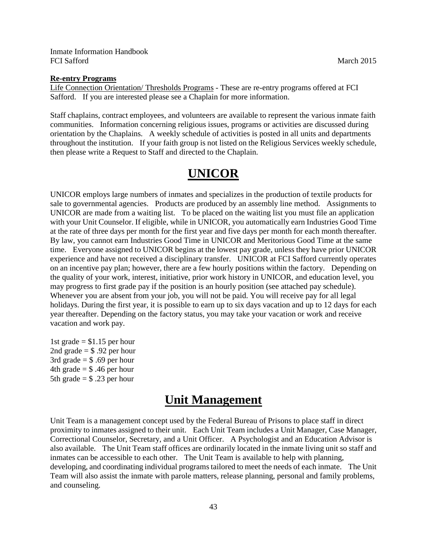#### **Re-entry Programs**

Life Connection Orientation/ Thresholds Programs - These are re-entry programs offered at FCI Safford. If you are interested please see a Chaplain for more information.

Staff chaplains, contract employees, and volunteers are available to represent the various inmate faith communities. Information concerning religious issues, programs or activities are discussed during orientation by the Chaplains. A weekly schedule of activities is posted in all units and departments throughout the institution. If your faith group is not listed on the Religious Services weekly schedule, then please write a Request to Staff and directed to the Chaplain.

# **UNICOR**

UNICOR employs large numbers of inmates and specializes in the production of textile products for sale to governmental agencies. Products are produced by an assembly line method. Assignments to UNICOR are made from a waiting list. To be placed on the waiting list you must file an application with your Unit Counselor. If eligible, while in UNICOR, you automatically earn Industries Good Time at the rate of three days per month for the first year and five days per month for each month thereafter. By law, you cannot earn Industries Good Time in UNICOR and Meritorious Good Time at the same time. Everyone assigned to UNICOR begins at the lowest pay grade, unless they have prior UNICOR experience and have not received a disciplinary transfer. UNICOR at FCI Safford currently operates on an incentive pay plan; however, there are a few hourly positions within the factory. Depending on the quality of your work, interest, initiative, prior work history in UNICOR, and education level, you may progress to first grade pay if the position is an hourly position (see attached pay schedule). Whenever you are absent from your job, you will not be paid. You will receive pay for all legal holidays. During the first year, it is possible to earn up to six days vacation and up to 12 days for each year thereafter. Depending on the factory status, you may take your vacation or work and receive vacation and work pay.

1st grade  $= $1.15$  per hour 2nd grade  $=$  \$ .92 per hour 3rd grade  $=$  \$ .69 per hour 4th grade  $=$  \$ .46 per hour 5th grade  $=$  \$ .23 per hour

# **Unit Management**

Unit Team is a management concept used by the Federal Bureau of Prisons to place staff in direct proximity to inmates assigned to their unit. Each Unit Team includes a Unit Manager, Case Manager, Correctional Counselor, Secretary, and a Unit Officer. A Psychologist and an Education Advisor is also available. The Unit Team staff offices are ordinarily located in the inmate living unit so staff and inmates can be accessible to each other. The Unit Team is available to help with planning, developing, and coordinating individual programs tailored to meet the needs of each inmate. The Unit Team will also assist the inmate with parole matters, release planning, personal and family problems, and counseling.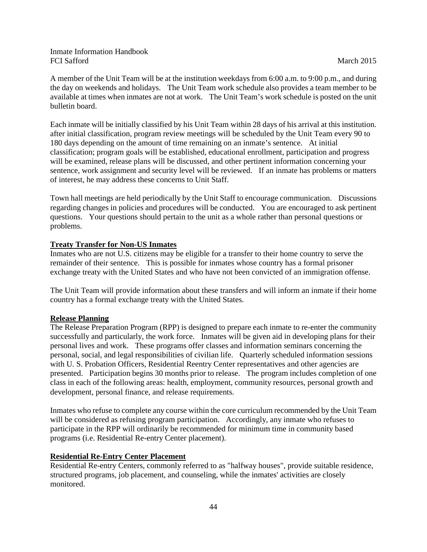A member of the Unit Team will be at the institution weekdays from 6:00 a.m. to 9:00 p.m., and during the day on weekends and holidays. The Unit Team work schedule also provides a team member to be available at times when inmates are not at work. The Unit Team's work schedule is posted on the unit bulletin board.

Each inmate will be initially classified by his Unit Team within 28 days of his arrival at this institution. after initial classification, program review meetings will be scheduled by the Unit Team every 90 to 180 days depending on the amount of time remaining on an inmate's sentence. At initial classification; program goals will be established, educational enrollment, participation and progress will be examined, release plans will be discussed, and other pertinent information concerning your sentence, work assignment and security level will be reviewed. If an inmate has problems or matters of interest, he may address these concerns to Unit Staff.

Town hall meetings are held periodically by the Unit Staff to encourage communication. Discussions regarding changes in policies and procedures will be conducted. You are encouraged to ask pertinent questions. Your questions should pertain to the unit as a whole rather than personal questions or problems.

## **Treaty Transfer for Non-US Inmates**

Inmates who are not U.S. citizens may be eligible for a transfer to their home country to serve the remainder of their sentence. This is possible for inmates whose country has a formal prisoner exchange treaty with the United States and who have not been convicted of an immigration offense.

The Unit Team will provide information about these transfers and will inform an inmate if their home country has a formal exchange treaty with the United States.

#### **Release Planning**

The Release Preparation Program (RPP) is designed to prepare each inmate to re-enter the community successfully and particularly, the work force. Inmates will be given aid in developing plans for their personal lives and work. These programs offer classes and information seminars concerning the personal, social, and legal responsibilities of civilian life. Quarterly scheduled information sessions with U. S. Probation Officers, Residential Reentry Center representatives and other agencies are presented. Participation begins 30 months prior to release. The program includes completion of one class in each of the following areas: health, employment, community resources, personal growth and development, personal finance, and release requirements.

Inmates who refuse to complete any course within the core curriculum recommended by the Unit Team will be considered as refusing program participation. Accordingly, any inmate who refuses to participate in the RPP will ordinarily be recommended for minimum time in community based programs (i.e. Residential Re-entry Center placement).

## **Residential Re-Entry Center Placement**

Residential Re-entry Centers, commonly referred to as "halfway houses", provide suitable residence, structured programs, job placement, and counseling, while the inmates' activities are closely monitored.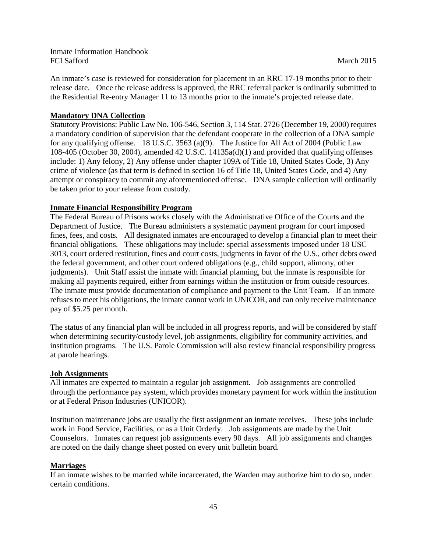An inmate's case is reviewed for consideration for placement in an RRC 17-19 months prior to their release date. Once the release address is approved, the RRC referral packet is ordinarily submitted to the Residential Re-entry Manager 11 to 13 months prior to the inmate's projected release date.

#### **Mandatory DNA Collection**

Statutory Provisions: Public Law No. 106-546, Section 3, 114 Stat. 2726 (December 19, 2000) requires a mandatory condition of supervision that the defendant cooperate in the collection of a DNA sample for any qualifying offense. 18 U.S.C. 3563 (a)(9). The Justice for All Act of 2004 (Public Law 108-405 (October 30, 2004), amended 42 U.S.C. 14135a(d)(1) and provided that qualifying offenses include: 1) Any felony, 2) Any offense under chapter 109A of Title 18, United States Code, 3) Any crime of violence (as that term is defined in section 16 of Title 18, United States Code, and 4) Any attempt or conspiracy to commit any aforementioned offense. DNA sample collection will ordinarily be taken prior to your release from custody.

#### **Inmate Financial Responsibility Program**

The Federal Bureau of Prisons works closely with the Administrative Office of the Courts and the Department of Justice. The Bureau administers a systematic payment program for court imposed fines, fees, and costs. All designated inmates are encouraged to develop a financial plan to meet their financial obligations. These obligations may include: special assessments imposed under 18 USC 3013, court ordered restitution, fines and court costs, judgments in favor of the U.S., other debts owed the federal government, and other court ordered obligations (e.g., child support, alimony, other judgments). Unit Staff assist the inmate with financial planning, but the inmate is responsible for making all payments required, either from earnings within the institution or from outside resources. The inmate must provide documentation of compliance and payment to the Unit Team. If an inmate refuses to meet his obligations, the inmate cannot work in UNICOR, and can only receive maintenance pay of \$5.25 per month.

The status of any financial plan will be included in all progress reports, and will be considered by staff when determining security/custody level, job assignments, eligibility for community activities, and institution programs. The U.S. Parole Commission will also review financial responsibility progress at parole hearings.

#### **Job Assignments**

All inmates are expected to maintain a regular job assignment. Job assignments are controlled through the performance pay system, which provides monetary payment for work within the institution or at Federal Prison Industries (UNICOR).

Institution maintenance jobs are usually the first assignment an inmate receives. These jobs include work in Food Service, Facilities, or as a Unit Orderly. Job assignments are made by the Unit Counselors. Inmates can request job assignments every 90 days. All job assignments and changes are noted on the daily change sheet posted on every unit bulletin board.

#### **Marriages**

If an inmate wishes to be married while incarcerated, the Warden may authorize him to do so, under certain conditions.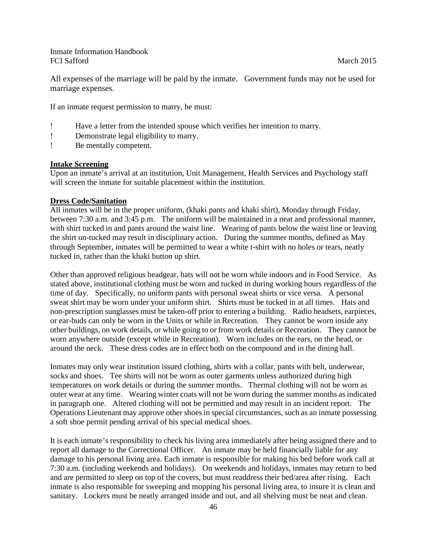All expenses of the marriage will be paid by the inmate. Government funds may not be used for marriage expenses.

If an inmate request permission to marry, he must:

- ! Have a letter from the intended spouse which verifies her intention to marry.
- ! Demonstrate legal eligibility to marry.
- ! Be mentally competent.

#### **Intake Screening**

Upon an inmate's arrival at an institution, Unit Management, Health Services and Psychology staff will screen the inmate for suitable placement within the institution.

#### **Dress Code/Sanitation**

All inmates will be in the proper uniform, (khaki pants and khaki shirt), Monday through Friday, between 7:30 a.m. and 3:45 p.m. The uniform will be maintained in a neat and professional manner, with shirt tucked in and pants around the waist line. Wearing of pants below the waist line or leaving the shirt un-tucked may result in disciplinary action. During the summer months, defined as May through September, inmates will be permitted to wear a white t-shirt with no holes or tears, neatly tucked in, rather than the khaki button up shirt.

Other than approved religious headgear, hats will not be worn while indoors and in Food Service. As stated above, institutional clothing must be worn and tucked in during working hours regardless of the time of day. Specifically, no uniform pants with personal sweat shirts or vice versa. A personal sweat shirt may be worn under your uniform shirt. Shirts must be tucked in at all times. Hats and non-prescription sunglasses must be taken-off prior to entering a building. Radio headsets, earpieces, or ear-buds can only be worn in the Units or while in Recreation. They cannot be worn inside any other buildings, on work details, or while going to or from work details or Recreation. They cannot be worn anywhere outside (except while in Recreation). Worn includes on the ears, on the head, or around the neck. These dress codes are in effect both on the compound and in the dining hall.

Inmates may only wear institution issued clothing, shirts with a collar, pants with belt, underwear, socks and shoes. Tee shirts will not be worn as outer garments unless authorized during high temperatures on work details or during the summer months. Thermal clothing will not be worn as outer wear at any time. Wearing winter coats will not be worn during the summer months as indicated in paragraph one. Altered clothing will not be permitted and may result in an incident report. The Operations Lieutenant may approve other shoes in special circumstances, such as an inmate possessing a soft shoe permit pending arrival of his special medical shoes.

It is each inmate's responsibility to check his living area immediately after being assigned there and to report all damage to the Correctional Officer. An inmate may be held financially liable for any damage to his personal living area. Each inmate is responsible for making his bed before work call at 7:30 a.m. (including weekends and holidays). On weekends and holidays, inmates may return to bed and are permitted to sleep on top of the covers, but must readdress their bed/area after rising. Each inmate is also responsible for sweeping and mopping his personal living area, to insure it is clean and sanitary. Lockers must be neatly arranged inside and out, and all shelving must be neat and clean.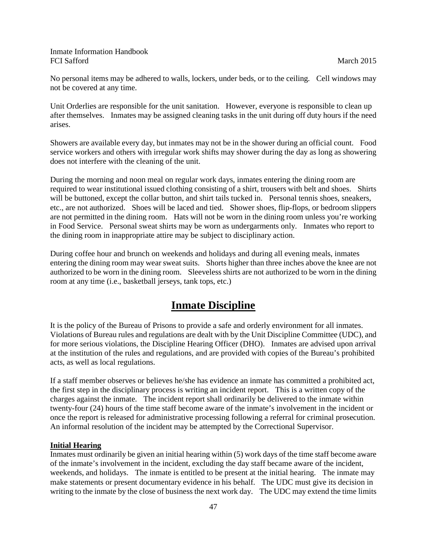No personal items may be adhered to walls, lockers, under beds, or to the ceiling. Cell windows may not be covered at any time.

Unit Orderlies are responsible for the unit sanitation. However, everyone is responsible to clean up after themselves. Inmates may be assigned cleaning tasks in the unit during off duty hours if the need arises.

Showers are available every day, but inmates may not be in the shower during an official count. Food service workers and others with irregular work shifts may shower during the day as long as showering does not interfere with the cleaning of the unit.

During the morning and noon meal on regular work days, inmates entering the dining room are required to wear institutional issued clothing consisting of a shirt, trousers with belt and shoes. Shirts will be buttoned, except the collar button, and shirt tails tucked in. Personal tennis shoes, sneakers, etc., are not authorized. Shoes will be laced and tied. Shower shoes, flip-flops, or bedroom slippers are not permitted in the dining room. Hats will not be worn in the dining room unless you're working in Food Service. Personal sweat shirts may be worn as undergarments only. Inmates who report to the dining room in inappropriate attire may be subject to disciplinary action.

During coffee hour and brunch on weekends and holidays and during all evening meals, inmates entering the dining room may wear sweat suits. Shorts higher than three inches above the knee are not authorized to be worn in the dining room. Sleeveless shirts are not authorized to be worn in the dining room at any time (i.e., basketball jerseys, tank tops, etc.)

# **Inmate Discipline**

It is the policy of the Bureau of Prisons to provide a safe and orderly environment for all inmates. Violations of Bureau rules and regulations are dealt with by the Unit Discipline Committee (UDC), and for more serious violations, the Discipline Hearing Officer (DHO). Inmates are advised upon arrival at the institution of the rules and regulations, and are provided with copies of the Bureau's prohibited acts, as well as local regulations.

If a staff member observes or believes he/she has evidence an inmate has committed a prohibited act, the first step in the disciplinary process is writing an incident report. This is a written copy of the charges against the inmate. The incident report shall ordinarily be delivered to the inmate within twenty-four (24) hours of the time staff become aware of the inmate's involvement in the incident or once the report is released for administrative processing following a referral for criminal prosecution. An informal resolution of the incident may be attempted by the Correctional Supervisor.

#### **Initial Hearing**

Inmates must ordinarily be given an initial hearing within (5) work days of the time staff become aware of the inmate's involvement in the incident, excluding the day staff became aware of the incident, weekends, and holidays. The inmate is entitled to be present at the initial hearing. The inmate may make statements or present documentary evidence in his behalf. The UDC must give its decision in writing to the inmate by the close of business the next work day. The UDC may extend the time limits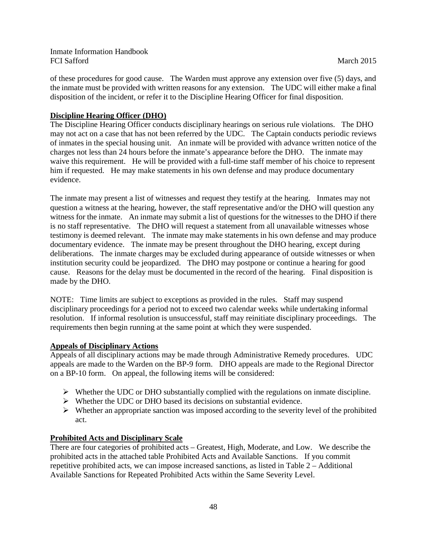of these procedures for good cause. The Warden must approve any extension over five (5) days, and the inmate must be provided with written reasons for any extension. The UDC will either make a final disposition of the incident, or refer it to the Discipline Hearing Officer for final disposition.

## **Discipline Hearing Officer (DHO)**

The Discipline Hearing Officer conducts disciplinary hearings on serious rule violations. The DHO may not act on a case that has not been referred by the UDC. The Captain conducts periodic reviews of inmates in the special housing unit. An inmate will be provided with advance written notice of the charges not less than 24 hours before the inmate's appearance before the DHO. The inmate may waive this requirement. He will be provided with a full-time staff member of his choice to represent him if requested. He may make statements in his own defense and may produce documentary evidence.

The inmate may present a list of witnesses and request they testify at the hearing. Inmates may not question a witness at the hearing, however, the staff representative and/or the DHO will question any witness for the inmate. An inmate may submit a list of questions for the witnesses to the DHO if there is no staff representative. The DHO will request a statement from all unavailable witnesses whose testimony is deemed relevant. The inmate may make statements in his own defense and may produce documentary evidence. The inmate may be present throughout the DHO hearing, except during deliberations. The inmate charges may be excluded during appearance of outside witnesses or when institution security could be jeopardized. The DHO may postpone or continue a hearing for good cause. Reasons for the delay must be documented in the record of the hearing. Final disposition is made by the DHO.

NOTE: Time limits are subject to exceptions as provided in the rules. Staff may suspend disciplinary proceedings for a period not to exceed two calendar weeks while undertaking informal resolution. If informal resolution is unsuccessful, staff may reinitiate disciplinary proceedings. The requirements then begin running at the same point at which they were suspended.

## **Appeals of Disciplinary Actions**

Appeals of all disciplinary actions may be made through Administrative Remedy procedures. UDC appeals are made to the Warden on the BP-9 form. DHO appeals are made to the Regional Director on a BP-10 form. On appeal, the following items will be considered:

- $\triangleright$  Whether the UDC or DHO substantially complied with the regulations on inmate discipline.
- $\triangleright$  Whether the UDC or DHO based its decisions on substantial evidence.
- $\triangleright$  Whether an appropriate sanction was imposed according to the severity level of the prohibited act.

#### **Prohibited Acts and Disciplinary Scale**

There are four categories of prohibited acts – Greatest, High, Moderate, and Low. We describe the prohibited acts in the attached table Prohibited Acts and Available Sanctions. If you commit repetitive prohibited acts, we can impose increased sanctions, as listed in Table 2 – Additional Available Sanctions for Repeated Prohibited Acts within the Same Severity Level.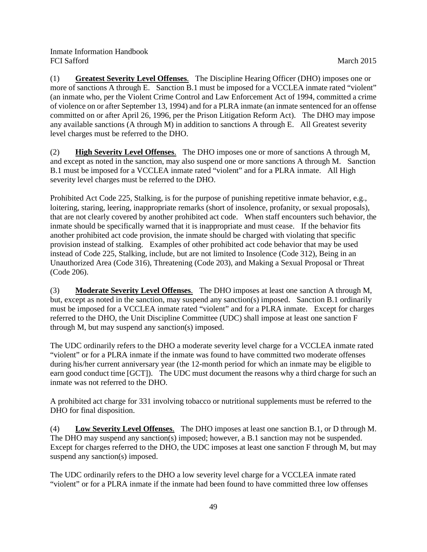(1) **Greatest Severity Level Offenses**. The Discipline Hearing Officer (DHO) imposes one or more of sanctions A through E. Sanction B.1 must be imposed for a VCCLEA inmate rated "violent" (an inmate who, per the Violent Crime Control and Law Enforcement Act of 1994, committed a crime of violence on or after September 13, 1994) and for a PLRA inmate (an inmate sentenced for an offense committed on or after April 26, 1996, per the Prison Litigation Reform Act). The DHO may impose any available sanctions (A through M) in addition to sanctions A through E. All Greatest severity level charges must be referred to the DHO.

(2) **High Severity Level Offenses**. The DHO imposes one or more of sanctions A through M, and except as noted in the sanction, may also suspend one or more sanctions A through M. Sanction B.1 must be imposed for a VCCLEA inmate rated "violent" and for a PLRA inmate. All High severity level charges must be referred to the DHO.

Prohibited Act Code 225, Stalking, is for the purpose of punishing repetitive inmate behavior, e.g., loitering, staring, leering, inappropriate remarks (short of insolence, profanity, or sexual proposals), that are not clearly covered by another prohibited act code. When staff encounters such behavior, the inmate should be specifically warned that it is inappropriate and must cease. If the behavior fits another prohibited act code provision, the inmate should be charged with violating that specific provision instead of stalking. Examples of other prohibited act code behavior that may be used instead of Code 225, Stalking, include, but are not limited to Insolence (Code 312), Being in an Unauthorized Area (Code 316), Threatening (Code 203), and Making a Sexual Proposal or Threat (Code 206).

(3) **Moderate Severity Level Offenses**. The DHO imposes at least one sanction A through M, but, except as noted in the sanction, may suspend any sanction(s) imposed. Sanction B.1 ordinarily must be imposed for a VCCLEA inmate rated "violent" and for a PLRA inmate. Except for charges referred to the DHO, the Unit Discipline Committee (UDC) shall impose at least one sanction F through M, but may suspend any sanction(s) imposed.

The UDC ordinarily refers to the DHO a moderate severity level charge for a VCCLEA inmate rated "violent" or for a PLRA inmate if the inmate was found to have committed two moderate offenses during his/her current anniversary year (the 12-month period for which an inmate may be eligible to earn good conduct time [GCT]). The UDC must document the reasons why a third charge for such an inmate was not referred to the DHO.

A prohibited act charge for 331 involving tobacco or nutritional supplements must be referred to the DHO for final disposition.

(4) **Low Severity Level Offenses**. The DHO imposes at least one sanction B.1, or D through M. The DHO may suspend any sanction(s) imposed; however, a B.1 sanction may not be suspended. Except for charges referred to the DHO, the UDC imposes at least one sanction F through M, but may suspend any sanction(s) imposed.

The UDC ordinarily refers to the DHO a low severity level charge for a VCCLEA inmate rated "violent" or for a PLRA inmate if the inmate had been found to have committed three low offenses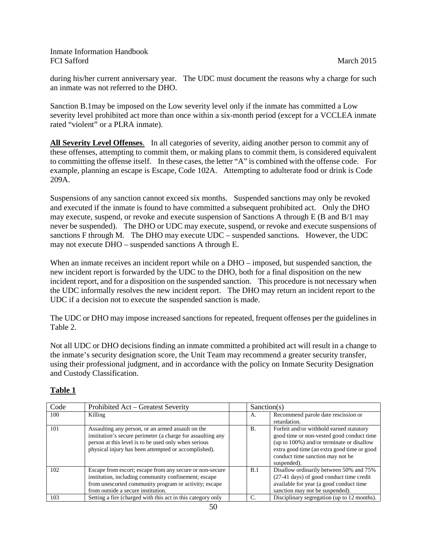during his/her current anniversary year. The UDC must document the reasons why a charge for such an inmate was not referred to the DHO.

Sanction B.1may be imposed on the Low severity level only if the inmate has committed a Low severity level prohibited act more than once within a six-month period (except for a VCCLEA inmate rated "violent" or a PLRA inmate).

**All Severity Level Offenses**. In all categories of severity, aiding another person to commit any of these offenses, attempting to commit them, or making plans to commit them, is considered equivalent to committing the offense itself. In these cases, the letter "A" is combined with the offense code. For example, planning an escape is Escape, Code 102A. Attempting to adulterate food or drink is Code 209A.

Suspensions of any sanction cannot exceed six months. Suspended sanctions may only be revoked and executed if the inmate is found to have committed a subsequent prohibited act. Only the DHO may execute, suspend, or revoke and execute suspension of Sanctions A through E (B and B/1 may never be suspended). The DHO or UDC may execute, suspend, or revoke and execute suspensions of sanctions F through M. The DHO may execute UDC – suspended sanctions. However, the UDC may not execute DHO – suspended sanctions A through E.

When an inmate receives an incident report while on a DHO – imposed, but suspended sanction, the new incident report is forwarded by the UDC to the DHO, both for a final disposition on the new incident report, and for a disposition on the suspended sanction. This procedure is not necessary when the UDC informally resolves the new incident report. The DHO may return an incident report to the UDC if a decision not to execute the suspended sanction is made.

The UDC or DHO may impose increased sanctions for repeated, frequent offenses per the guidelines in Table 2.

Not all UDC or DHO decisions finding an inmate committed a prohibited act will result in a change to the inmate's security designation score, the Unit Team may recommend a greater security transfer, using their professional judgment, and in accordance with the policy on Inmate Security Designation and Custody Classification.

| Code | Prohibited Act - Greatest Severity                                                                                                                                                                                               | Sanction(s) |                                                                                                                                                                                                                                      |
|------|----------------------------------------------------------------------------------------------------------------------------------------------------------------------------------------------------------------------------------|-------------|--------------------------------------------------------------------------------------------------------------------------------------------------------------------------------------------------------------------------------------|
| 100  | Killing                                                                                                                                                                                                                          | А.          | Recommend parole date rescission or<br>retardation.                                                                                                                                                                                  |
| 101  | Assaulting any person, or an armed assault on the<br>institution's secure perimeter (a charge for assaulting any<br>person at this level is to be used only when serious<br>physical injury has been attempted or accomplished). | <b>B.</b>   | Forfeit and/or withhold earned statutory<br>good time or non-vested good conduct time<br>(up to 100%) and/or terminate or disallow<br>extra good time (an extra good time or good<br>conduct time sanction may not be<br>suspended). |
| 102  | Escape from escort; escape from any secure or non-secure<br>institution, including community confinement; escape<br>from unescorted community program or activity; escape<br>from outside a secure institution.                  | B.1         | Disallow ordinarily between 50% and 75%<br>(27-41 days) of good conduct time credit<br>available for year (a good conduct time<br>sanction may not be suspended).                                                                    |
| 103  | Setting a fire (charged with this act in this category only                                                                                                                                                                      |             | Disciplinary segregation (up to 12 months).                                                                                                                                                                                          |

# **Table 1**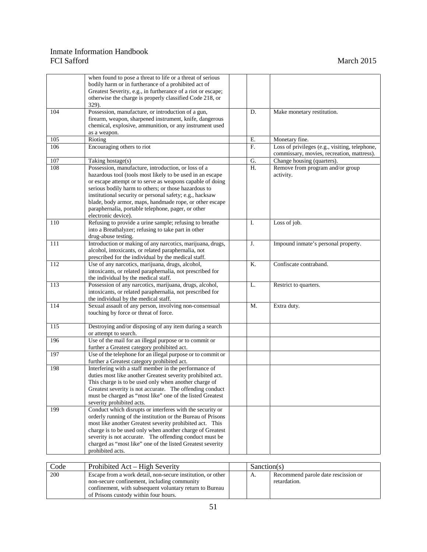|      | when found to pose a threat to life or a threat of serious<br>bodily harm or in furtherance of a prohibited act of<br>Greatest Severity, e.g., in furtherance of a riot or escape;<br>otherwise the charge is properly classified Code 218, or                                                                                                                                                                                            |                |                                                |
|------|-------------------------------------------------------------------------------------------------------------------------------------------------------------------------------------------------------------------------------------------------------------------------------------------------------------------------------------------------------------------------------------------------------------------------------------------|----------------|------------------------------------------------|
|      | 329).                                                                                                                                                                                                                                                                                                                                                                                                                                     |                |                                                |
| 104  | Possession, manufacture, or introduction of a gun,<br>firearm, weapon, sharpened instrument, knife, dangerous<br>chemical, explosive, ammunition, or any instrument used<br>as a weapon.                                                                                                                                                                                                                                                  | D.             | Make monetary restitution.                     |
| 105  | Rioting                                                                                                                                                                                                                                                                                                                                                                                                                                   | Е.             | Monetary fine.                                 |
| 106  | Encouraging others to riot                                                                                                                                                                                                                                                                                                                                                                                                                | F.             | Loss of privileges (e.g., visiting, telephone, |
|      |                                                                                                                                                                                                                                                                                                                                                                                                                                           |                | commissary, movies, recreation, mattress).     |
| 107  | Taking hostage(s)                                                                                                                                                                                                                                                                                                                                                                                                                         | G.             | Change housing (quarters).                     |
| 108  | Possession, manufacture, introduction, or loss of a<br>hazardous tool (tools most likely to be used in an escape<br>or escape attempt or to serve as weapons capable of doing<br>serious bodily harm to others; or those hazardous to<br>institutional security or personal safety; e.g., hacksaw<br>blade, body armor, maps, handmade rope, or other escape<br>paraphernalia, portable telephone, pager, or other<br>electronic device). | H.             | Remove from program and/or group<br>activity.  |
| 110  | Refusing to provide a urine sample; refusing to breathe<br>into a Breathalyzer; refusing to take part in other<br>drug-abuse testing.                                                                                                                                                                                                                                                                                                     | I.             | Loss of job.                                   |
| 111  | Introduction or making of any narcotics, marijuana, drugs,<br>alcohol, intoxicants, or related paraphernalia, not<br>prescribed for the individual by the medical staff.                                                                                                                                                                                                                                                                  | J.             | Impound inmate's personal property.            |
| 112  | Use of any narcotics, marijuana, drugs, alcohol,<br>intoxicants, or related paraphernalia, not prescribed for<br>the individual by the medical staff.                                                                                                                                                                                                                                                                                     | K.             | Confiscate contraband.                         |
| 113  | Possession of any narcotics, marijuana, drugs, alcohol,<br>intoxicants, or related paraphernalia, not prescribed for<br>the individual by the medical staff.                                                                                                                                                                                                                                                                              | L.             | Restrict to quarters.                          |
| 114  | Sexual assault of any person, involving non-consensual<br>touching by force or threat of force.                                                                                                                                                                                                                                                                                                                                           | M.             | Extra duty.                                    |
| 115  | Destroying and/or disposing of any item during a search<br>or attempt to search.                                                                                                                                                                                                                                                                                                                                                          |                |                                                |
| 196  | Use of the mail for an illegal purpose or to commit or<br>further a Greatest category prohibited act.                                                                                                                                                                                                                                                                                                                                     |                |                                                |
| 197  | Use of the telephone for an illegal purpose or to commit or<br>further a Greatest category prohibited act.                                                                                                                                                                                                                                                                                                                                |                |                                                |
| 198  | Interfering with a staff member in the performance of<br>duties most like another Greatest severity prohibited act.<br>This charge is to be used only when another charge of<br>Greatest severity is not accurate. The offending conduct<br>must be charged as "most like" one of the listed Greatest<br>severity prohibited acts.                                                                                                        |                |                                                |
| 199  | Conduct which disrupts or interferes with the security or<br>orderly running of the institution or the Bureau of Prisons<br>most like another Greatest severity prohibited act. This<br>charge is to be used only when another charge of Greatest<br>severity is not accurate. The offending conduct must be<br>charged as "most like" one of the listed Greatest severity<br>prohibited acts.                                            |                |                                                |
| Code | Prohibited Act – High Severity                                                                                                                                                                                                                                                                                                                                                                                                            | $S$ anction(s) |                                                |

| Code | Prohibited Act – High Severity                              | Sanction(s) |                                     |
|------|-------------------------------------------------------------|-------------|-------------------------------------|
| 200  | Escape from a work detail, non-secure institution, or other | А.          | Recommend parole date rescission or |
|      | non-secure confinement, including community                 |             | retardation.                        |
|      | confinement, with subsequent voluntary return to Bureau     |             |                                     |
|      | of Prisons custody within four hours.                       |             |                                     |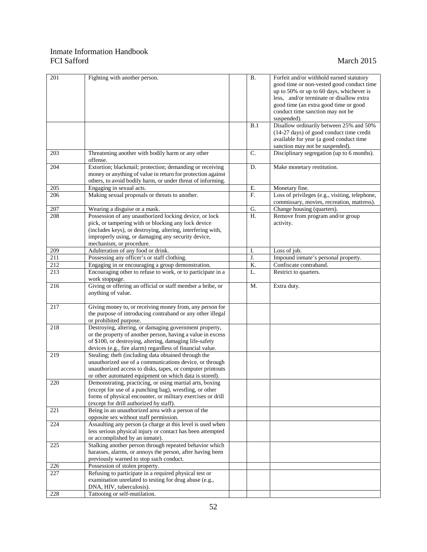| 201 | Fighting with another person.                               | <b>B.</b> | Forfeit and/or withhold earned statutory       |
|-----|-------------------------------------------------------------|-----------|------------------------------------------------|
|     |                                                             |           | good time or non-vested good conduct time      |
|     |                                                             |           |                                                |
|     |                                                             |           | up to 50% or up to 60 days, whichever is       |
|     |                                                             |           | less, and/or terminate or disallow extra       |
|     |                                                             |           | good time (an extra good time or good          |
|     |                                                             |           | conduct time sanction may not be               |
|     |                                                             |           | suspended).                                    |
|     |                                                             | B.1       | Disallow ordinarily between 25% and 50%        |
|     |                                                             |           | (14-27 days) of good conduct time credit       |
|     |                                                             |           | available for year (a good conduct time        |
|     |                                                             |           | sanction may not be suspended).                |
| 203 | Threatening another with bodily harm or any other           | C.        | Disciplinary segregation (up to 6 months).     |
|     | offense.                                                    |           |                                                |
| 204 | Extortion; blackmail; protection; demanding or receiving    | D.        | Make monetary restitution.                     |
|     | money or anything of value in return for protection against |           |                                                |
|     | others, to avoid bodily harm, or under threat of informing. |           |                                                |
| 205 | Engaging in sexual acts.                                    | Ε.        | Monetary fine.                                 |
| 206 | Making sexual proposals or threats to another.              | F.        | Loss of privileges (e.g., visiting, telephone, |
|     |                                                             |           | commissary, movies, recreation, mattress).     |
| 207 |                                                             | G.        | Change housing (quarters).                     |
|     | Wearing a disguise or a mask.                               |           |                                                |
| 208 | Possession of any unauthorized locking device, or lock      | H.        | Remove from program and/or group               |
|     | pick, or tampering with or blocking any lock device         |           | activity.                                      |
|     | (includes keys), or destroying, altering, interfering with, |           |                                                |
|     | improperly using, or damaging any security device,          |           |                                                |
|     | mechanism, or procedure.                                    |           |                                                |
| 209 | Adulteration of any food or drink.                          | I.        | Loss of job.                                   |
| 211 | Possessing any officer's or staff clothing.                 | J.        | Impound inmate's personal property.            |
| 212 | Engaging in or encouraging a group demonstration.           | K.        | Confiscate contraband.                         |
| 213 | Encouraging other to refuse to work, or to participate in a | L.        | Restrict to quarters.                          |
|     | work stoppage.                                              |           |                                                |
| 216 | Giving or offering an official or staff member a bribe, or  | M.        | Extra duty.                                    |
|     | anything of value.                                          |           |                                                |
|     |                                                             |           |                                                |
| 217 | Giving money to, or receiving money from, any person for    |           |                                                |
|     | the purpose of introducing contraband or any other illegal  |           |                                                |
|     | or prohibited purpose.                                      |           |                                                |
| 218 | Destroying, altering, or damaging government property,      |           |                                                |
|     | or the property of another person, having a value in excess |           |                                                |
|     | of \$100, or destroying, altering, damaging life-safety     |           |                                                |
|     | devices (e.g., fire alarm) regardless of financial value.   |           |                                                |
| 219 | Stealing; theft (including data obtained through the        |           |                                                |
|     |                                                             |           |                                                |
|     | unauthorized use of a communications device, or through     |           |                                                |
|     | unauthorized access to disks, tapes, or computer printouts  |           |                                                |
|     | or other automated equipment on which data is stored).      |           |                                                |
| 220 | Demonstrating, practicing, or using martial arts, boxing    |           |                                                |
|     | (except for use of a punching bag), wrestling, or other     |           |                                                |
|     | forms of physical encounter, or military exercises or drill |           |                                                |
|     | (except for drill authorized by staff).                     |           |                                                |
| 221 | Being in an unauthorized area with a person of the          |           |                                                |
|     | opposite sex without staff permission.                      |           |                                                |
| 224 | Assaulting any person (a charge at this level is used when  |           |                                                |
|     | less serious physical injury or contact has been attempted  |           |                                                |
|     | or accomplished by an inmate).                              |           |                                                |
| 225 | Stalking another person through repeated behavior which     |           |                                                |
|     | harasses, alarms, or annoys the person, after having been   |           |                                                |
|     | previously warned to stop such conduct.                     |           |                                                |
| 226 | Possession of stolen property.                              |           |                                                |
| 227 | Refusing to participate in a required physical test or      |           |                                                |
|     | examination unrelated to testing for drug abuse (e.g.,      |           |                                                |
|     | DNA, HIV, tuberculosis).                                    |           |                                                |
| 228 | Tattooing or self-mutilation.                               |           |                                                |
|     |                                                             |           |                                                |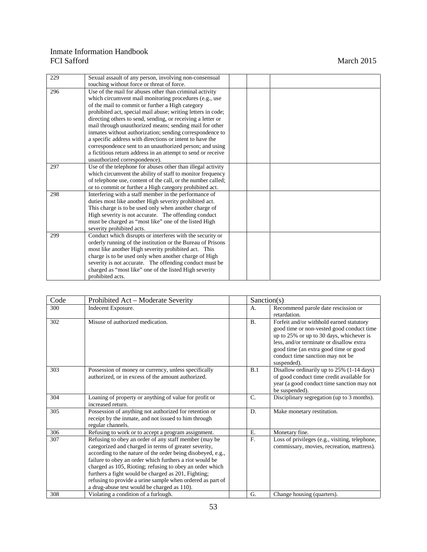| 229 | Sexual assault of any person, involving non-consensual       |  |
|-----|--------------------------------------------------------------|--|
|     | touching without force or threat of force.                   |  |
| 296 | Use of the mail for abuses other than criminal activity      |  |
|     | which circumvent mail monitoring procedures (e.g., use       |  |
|     | of the mail to commit or further a High category             |  |
|     | prohibited act, special mail abuse; writing letters in code; |  |
|     | directing others to send, sending, or receiving a letter or  |  |
|     | mail through unauthorized means; sending mail for other      |  |
|     | inmates without authorization; sending correspondence to     |  |
|     | a specific address with directions or intent to have the     |  |
|     | correspondence sent to an unauthorized person; and using     |  |
|     | a fictitious return address in an attempt to send or receive |  |
|     | unauthorized correspondence).                                |  |
| 297 | Use of the telephone for abuses other than illegal activity  |  |
|     | which circumvent the ability of staff to monitor frequency   |  |
|     | of telephone use, content of the call, or the number called; |  |
|     | or to commit or further a High category prohibited act.      |  |
| 298 | Interfering with a staff member in the performance of        |  |
|     | duties most like another High severity prohibited act.       |  |
|     | This charge is to be used only when another charge of        |  |
|     | High severity is not accurate. The offending conduct         |  |
|     | must be charged as "most like" one of the listed High        |  |
|     | severity prohibited acts.                                    |  |
| 299 | Conduct which disrupts or interferes with the security or    |  |
|     | orderly running of the institution or the Bureau of Prisons  |  |
|     | most like another High severity prohibited act. This         |  |
|     | charge is to be used only when another charge of High        |  |
|     | severity is not accurate. The offending conduct must be      |  |
|     | charged as "most like" one of the listed High severity       |  |
|     | prohibited acts.                                             |  |

| Code | Prohibited Act - Moderate Severity                                                                                                                                                                                                                                                                                                                                                                                                                                       | Sanction(s)    |                                                                                                                                                                                                                                                                           |
|------|--------------------------------------------------------------------------------------------------------------------------------------------------------------------------------------------------------------------------------------------------------------------------------------------------------------------------------------------------------------------------------------------------------------------------------------------------------------------------|----------------|---------------------------------------------------------------------------------------------------------------------------------------------------------------------------------------------------------------------------------------------------------------------------|
| 300  | Indecent Exposure.                                                                                                                                                                                                                                                                                                                                                                                                                                                       | A.             | Recommend parole date rescission or<br>retardation.                                                                                                                                                                                                                       |
| 302  | Misuse of authorized medication.                                                                                                                                                                                                                                                                                                                                                                                                                                         | B.             | Forfeit and/or withhold earned statutory<br>good time or non-vested good conduct time<br>up to 25% or up to 30 days, whichever is<br>less, and/or terminate or disallow extra<br>good time (an extra good time or good<br>conduct time sanction may not be<br>suspended). |
| 303  | Possession of money or currency, unless specifically<br>authorized, or in excess of the amount authorized.                                                                                                                                                                                                                                                                                                                                                               | B.1            | Disallow ordinarily up to 25% (1-14 days)<br>of good conduct time credit available for<br>year (a good conduct time sanction may not<br>be suspended).                                                                                                                    |
| 304  | Loaning of property or anything of value for profit or<br>increased return.                                                                                                                                                                                                                                                                                                                                                                                              | $\mathbf{C}$ . | Disciplinary segregation (up to 3 months).                                                                                                                                                                                                                                |
| 305  | Possession of anything not authorized for retention or<br>receipt by the inmate, and not issued to him through<br>regular channels.                                                                                                                                                                                                                                                                                                                                      | D.             | Make monetary restitution.                                                                                                                                                                                                                                                |
| 306  | Refusing to work or to accept a program assignment.                                                                                                                                                                                                                                                                                                                                                                                                                      | Ε.             | Monetary fine.                                                                                                                                                                                                                                                            |
| 307  | Refusing to obey an order of any staff member (may be<br>categorized and charged in terms of greater severity,<br>according to the nature of the order being disobeyed, e.g.,<br>failure to obey an order which furthers a riot would be<br>charged as 105, Rioting; refusing to obey an order which<br>furthers a fight would be charged as 201, Fighting;<br>refusing to provide a urine sample when ordered as part of<br>a drug-abuse test would be charged as 110). | F.             | Loss of privileges (e.g., visiting, telephone,<br>commissary, movies, recreation, mattress).                                                                                                                                                                              |
| 308  | Violating a condition of a furlough.                                                                                                                                                                                                                                                                                                                                                                                                                                     | G.             | Change housing (quarters).                                                                                                                                                                                                                                                |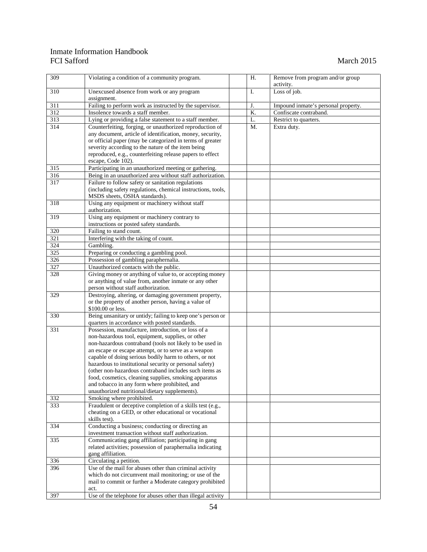| $\overline{309}$ | Violating a condition of a community program.                    | Η. | Remove from program and/or group    |
|------------------|------------------------------------------------------------------|----|-------------------------------------|
|                  |                                                                  |    | activity.                           |
| 310              | Unexcused absence from work or any program<br>assignment.        | I. | Loss of job.                        |
| 311              | Failing to perform work as instructed by the supervisor.         | J. | Impound inmate's personal property. |
| 312              | Insolence towards a staff member.                                | K. | Confiscate contraband.              |
| 313              | Lying or providing a false statement to a staff member.          | L. |                                     |
| $\overline{314}$ |                                                                  |    | Restrict to quarters.               |
|                  | Counterfeiting, forging, or unauthorized reproduction of         | M. | Extra duty.                         |
|                  | any document, article of identification, money, security,        |    |                                     |
|                  | or official paper (may be categorized in terms of greater        |    |                                     |
|                  | severity according to the nature of the item being               |    |                                     |
|                  | reproduced, e.g., counterfeiting release papers to effect        |    |                                     |
| 315              | escape, Code 102).                                               |    |                                     |
|                  | Participating in an unauthorized meeting or gathering.           |    |                                     |
| 316              | Being in an unauthorized area without staff authorization.       |    |                                     |
| 317              | Failure to follow safety or sanitation regulations               |    |                                     |
|                  | (including safety regulations, chemical instructions, tools,     |    |                                     |
|                  | MSDS sheets, OSHA standards).                                    |    |                                     |
| 318              | Using any equipment or machinery without staff<br>authorization. |    |                                     |
| 319              | Using any equipment or machinery contrary to                     |    |                                     |
|                  | instructions or posted safety standards.                         |    |                                     |
| 320              | Failing to stand count.                                          |    |                                     |
| 321              | Interfering with the taking of count.                            |    |                                     |
| 324              | Gambling.                                                        |    |                                     |
| 325              | Preparing or conducting a gambling pool.                         |    |                                     |
| 326              | Possession of gambling paraphernalia.                            |    |                                     |
| 327              | Unauthorized contacts with the public.                           |    |                                     |
| 328              | Giving money or anything of value to, or accepting money         |    |                                     |
|                  | or anything of value from, another inmate or any other           |    |                                     |
|                  | person without staff authorization.                              |    |                                     |
| 329              | Destroying, altering, or damaging government property,           |    |                                     |
|                  | or the property of another person, having a value of             |    |                                     |
|                  | \$100.00 or less.                                                |    |                                     |
| 330              | Being unsanitary or untidy; failing to keep one's person or      |    |                                     |
|                  | quarters in accordance with posted standards.                    |    |                                     |
| 331              | Possession, manufacture, introduction, or loss of a              |    |                                     |
|                  | non-hazardous tool, equipment, supplies, or other                |    |                                     |
|                  | non-hazardous contraband (tools not likely to be used in         |    |                                     |
|                  | an escape or escape attempt, or to serve as a weapon             |    |                                     |
|                  | capable of doing serious bodily harm to others, or not           |    |                                     |
|                  | hazardous to institutional security or personal safety)          |    |                                     |
|                  | (other non-hazardous contraband includes such items as           |    |                                     |
|                  | food, cosmetics, cleaning supplies, smoking apparatus            |    |                                     |
|                  | and tobacco in any form where prohibited, and                    |    |                                     |
|                  | unauthorized nutritional/dietary supplements).                   |    |                                     |
| 332              | Smoking where prohibited.                                        |    |                                     |
| 333              | Fraudulent or deceptive completion of a skills test (e.g.,       |    |                                     |
|                  | cheating on a GED, or other educational or vocational            |    |                                     |
|                  | skills test).                                                    |    |                                     |
| 334              | Conducting a business; conducting or directing an                |    |                                     |
|                  | investment transaction without staff authorization.              |    |                                     |
| 335              | Communicating gang affiliation; participating in gang            |    |                                     |
|                  | related activities; possession of paraphernalia indicating       |    |                                     |
|                  | gang affiliation.                                                |    |                                     |
| 336              | Circulating a petition.                                          |    |                                     |
| 396              | Use of the mail for abuses other than criminal activity          |    |                                     |
|                  | which do not circumvent mail monitoring; or use of the           |    |                                     |
|                  | mail to commit or further a Moderate category prohibited         |    |                                     |
|                  | act.                                                             |    |                                     |
| 397              | Use of the telephone for abuses other than illegal activity      |    |                                     |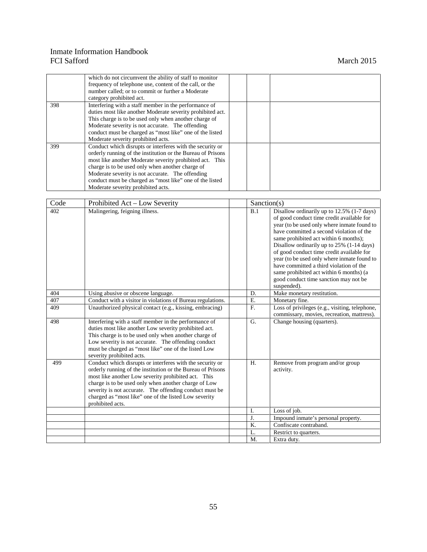|     | which do not circumvent the ability of staff to monitor<br>frequency of telephone use, content of the call, or the<br>number called; or to commit or further a Moderate<br>category prohibited act.                                                                                                                                                                                            |  |
|-----|------------------------------------------------------------------------------------------------------------------------------------------------------------------------------------------------------------------------------------------------------------------------------------------------------------------------------------------------------------------------------------------------|--|
| 398 | Interfering with a staff member in the performance of<br>duties most like another Moderate severity prohibited act.<br>This charge is to be used only when another charge of<br>Moderate severity is not accurate. The offending<br>conduct must be charged as "most like" one of the listed<br>Moderate severity prohibited acts.                                                             |  |
| 399 | Conduct which disrupts or interferes with the security or<br>orderly running of the institution or the Bureau of Prisons<br>most like another Moderate severity prohibited act. This<br>charge is to be used only when another charge of<br>Moderate severity is not accurate. The offending<br>conduct must be charged as "most like" one of the listed<br>Moderate severity prohibited acts. |  |

| Code | Prohibited Act – Low Severity                                                                                                                                                                                                                                                                                                                                                   | Sanction(s) |                                                                                                                                                                                                                                                                                                                                                                                                                                                                                                                    |
|------|---------------------------------------------------------------------------------------------------------------------------------------------------------------------------------------------------------------------------------------------------------------------------------------------------------------------------------------------------------------------------------|-------------|--------------------------------------------------------------------------------------------------------------------------------------------------------------------------------------------------------------------------------------------------------------------------------------------------------------------------------------------------------------------------------------------------------------------------------------------------------------------------------------------------------------------|
| 402  | Malingering, feigning illness.                                                                                                                                                                                                                                                                                                                                                  | B.1         | Disallow ordinarily up to 12.5% (1-7 days)<br>of good conduct time credit available for<br>year (to be used only where inmate found to<br>have committed a second violation of the<br>same prohibited act within 6 months);<br>Disallow ordinarily up to 25% (1-14 days)<br>of good conduct time credit available for<br>year (to be used only where inmate found to<br>have committed a third violation of the<br>same prohibited act within 6 months) (a<br>good conduct time sanction may not be<br>suspended). |
| 404  | Using abusive or obscene language.                                                                                                                                                                                                                                                                                                                                              | D.          | Make monetary restitution.                                                                                                                                                                                                                                                                                                                                                                                                                                                                                         |
| 407  | Conduct with a visitor in violations of Bureau regulations.                                                                                                                                                                                                                                                                                                                     | Ε.          | Monetary fine.                                                                                                                                                                                                                                                                                                                                                                                                                                                                                                     |
| 409  | Unauthorized physical contact (e.g., kissing, embracing)                                                                                                                                                                                                                                                                                                                        | F.          | Loss of privileges (e.g., visiting, telephone,<br>commissary, movies, recreation, mattress).                                                                                                                                                                                                                                                                                                                                                                                                                       |
| 498  | Interfering with a staff member in the performance of<br>duties most like another Low severity prohibited act.<br>This charge is to be used only when another charge of<br>Low severity is not accurate. The offending conduct<br>must be charged as "most like" one of the listed Low<br>severity prohibited acts.                                                             | G.          | Change housing (quarters).                                                                                                                                                                                                                                                                                                                                                                                                                                                                                         |
| 499  | Conduct which disrupts or interferes with the security or<br>orderly running of the institution or the Bureau of Prisons<br>most like another Low severity prohibited act. This<br>charge is to be used only when another charge of Low<br>severity is not accurate. The offending conduct must be<br>charged as "most like" one of the listed Low severity<br>prohibited acts. | H.          | Remove from program and/or group<br>activity.                                                                                                                                                                                                                                                                                                                                                                                                                                                                      |
|      |                                                                                                                                                                                                                                                                                                                                                                                 | I.          | Loss of job.                                                                                                                                                                                                                                                                                                                                                                                                                                                                                                       |
|      |                                                                                                                                                                                                                                                                                                                                                                                 | J.          | Impound inmate's personal property.                                                                                                                                                                                                                                                                                                                                                                                                                                                                                |
|      |                                                                                                                                                                                                                                                                                                                                                                                 | Κ.          | Confiscate contraband.                                                                                                                                                                                                                                                                                                                                                                                                                                                                                             |
|      |                                                                                                                                                                                                                                                                                                                                                                                 | L.          | Restrict to quarters.                                                                                                                                                                                                                                                                                                                                                                                                                                                                                              |
|      |                                                                                                                                                                                                                                                                                                                                                                                 | M.          | Extra duty.                                                                                                                                                                                                                                                                                                                                                                                                                                                                                                        |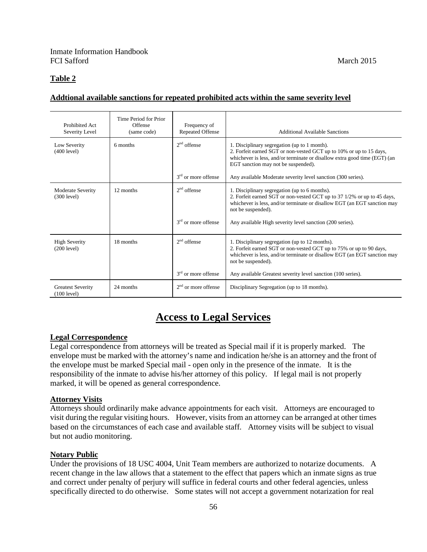# **Table 2**

# **Addtional available sanctions for repeated prohibited acts within the same severity level**

| Prohibited Act<br>Severity Level        | Time Period for Prior<br>Offense<br>(same code) | Frequency of<br><b>Repeated Offense</b> | <b>Additional Available Sanctions</b>                                                                                                                                                                                                                                                   |
|-----------------------------------------|-------------------------------------------------|-----------------------------------------|-----------------------------------------------------------------------------------------------------------------------------------------------------------------------------------------------------------------------------------------------------------------------------------------|
| Low Severity<br>(400 level)             | 6 months                                        | $2nd$ offense                           | 1. Disciplinary segregation (up to 1 month).<br>2. Forfeit earned SGT or non-vested GCT up to 10% or up to 15 days,<br>whichever is less, and/or terminate or disallow extra good time (EGT) (an<br>EGT sanction may not be suspended).                                                 |
|                                         |                                                 | 3 <sup>rd</sup> or more offense         | Any available Moderate severity level sanction (300 series).                                                                                                                                                                                                                            |
| Moderate Severity<br>(300 level)        | 12 months                                       | $2nd$ offense<br>$3rd$ or more offense  | 1. Disciplinary segregation (up to 6 months).<br>2. Forfeit earned SGT or non-vested GCT up to 37 1/2% or up to 45 days,<br>whichever is less, and/or terminate or disallow EGT (an EGT sanction may<br>not be suspended).<br>Any available High severity level sanction (200 series).  |
| <b>High Severity</b><br>(200 level)     | 18 months                                       | $2nd$ offense<br>$3rd$ or more offense  | 1. Disciplinary segregation (up to 12 months).<br>2. Forfeit earned SGT or non-vested GCT up to 75% or up to 90 days,<br>whichever is less, and/or terminate or disallow EGT (an EGT sanction may<br>not be suspended).<br>Any available Greatest severity level sanction (100 series). |
| <b>Greatest Severity</b><br>(100 level) | 24 months                                       | $2nd$ or more offense                   | Disciplinary Segregation (up to 18 months).                                                                                                                                                                                                                                             |

# **Access to Legal Services**

# **Legal Correspondence**

Legal correspondence from attorneys will be treated as Special mail if it is properly marked. The envelope must be marked with the attorney's name and indication he/she is an attorney and the front of the envelope must be marked Special mail - open only in the presence of the inmate. It is the responsibility of the inmate to advise his/her attorney of this policy. If legal mail is not properly marked, it will be opened as general correspondence.

#### **Attorney Visits**

Attorneys should ordinarily make advance appointments for each visit. Attorneys are encouraged to visit during the regular visiting hours. However, visits from an attorney can be arranged at other times based on the circumstances of each case and available staff. Attorney visits will be subject to visual but not audio monitoring.

#### **Notary Public**

Under the provisions of 18 USC 4004, Unit Team members are authorized to notarize documents. A recent change in the law allows that a statement to the effect that papers which an inmate signs as true and correct under penalty of perjury will suffice in federal courts and other federal agencies, unless specifically directed to do otherwise. Some states will not accept a government notarization for real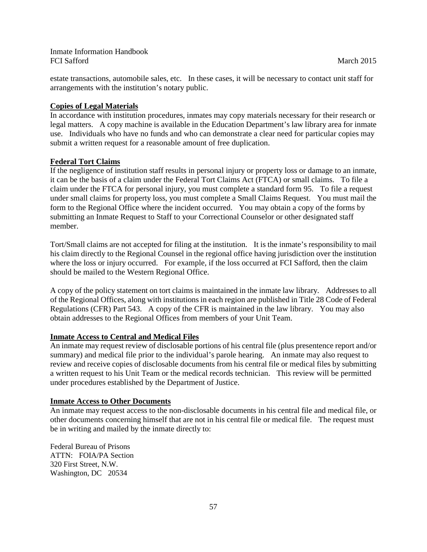estate transactions, automobile sales, etc. In these cases, it will be necessary to contact unit staff for arrangements with the institution's notary public.

## **Copies of Legal Materials**

In accordance with institution procedures, inmates may copy materials necessary for their research or legal matters. A copy machine is available in the Education Department's law library area for inmate use. Individuals who have no funds and who can demonstrate a clear need for particular copies may submit a written request for a reasonable amount of free duplication.

## **Federal Tort Claims**

If the negligence of institution staff results in personal injury or property loss or damage to an inmate, it can be the basis of a claim under the Federal Tort Claims Act (FTCA) or small claims. To file a claim under the FTCA for personal injury, you must complete a standard form 95. To file a request under small claims for property loss, you must complete a Small Claims Request. You must mail the form to the Regional Office where the incident occurred. You may obtain a copy of the forms by submitting an Inmate Request to Staff to your Correctional Counselor or other designated staff member.

Tort/Small claims are not accepted for filing at the institution. It is the inmate's responsibility to mail his claim directly to the Regional Counsel in the regional office having jurisdiction over the institution where the loss or injury occurred. For example, if the loss occurred at FCI Safford, then the claim should be mailed to the Western Regional Office.

A copy of the policy statement on tort claims is maintained in the inmate law library. Addresses to all of the Regional Offices, along with institutions in each region are published in Title 28 Code of Federal Regulations (CFR) Part 543. A copy of the CFR is maintained in the law library. You may also obtain addresses to the Regional Offices from members of your Unit Team.

#### **Inmate Access to Central and Medical Files**

An inmate may request review of disclosable portions of his central file (plus presentence report and/or summary) and medical file prior to the individual's parole hearing. An inmate may also request to review and receive copies of disclosable documents from his central file or medical files by submitting a written request to his Unit Team or the medical records technician. This review will be permitted under procedures established by the Department of Justice.

#### **Inmate Access to Other Documents**

An inmate may request access to the non-disclosable documents in his central file and medical file, or other documents concerning himself that are not in his central file or medical file. The request must be in writing and mailed by the inmate directly to:

Federal Bureau of Prisons ATTN: FOIA/PA Section 320 First Street, N.W. Washington, DC 20534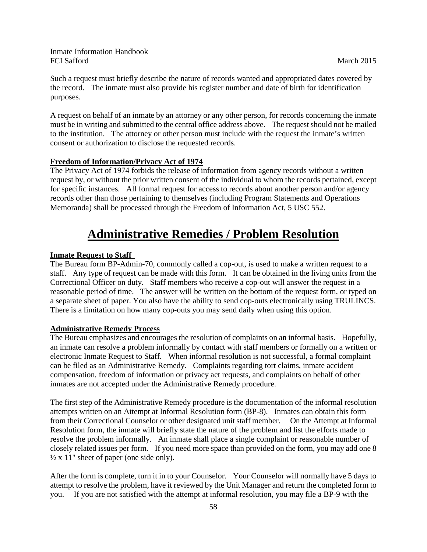Such a request must briefly describe the nature of records wanted and appropriated dates covered by the record. The inmate must also provide his register number and date of birth for identification purposes.

A request on behalf of an inmate by an attorney or any other person, for records concerning the inmate must be in writing and submitted to the central office address above. The request should not be mailed to the institution. The attorney or other person must include with the request the inmate's written consent or authorization to disclose the requested records.

## **Freedom of Information/Privacy Act of 1974**

The Privacy Act of 1974 forbids the release of information from agency records without a written request by, or without the prior written consent of the individual to whom the records pertained, except for specific instances. All formal request for access to records about another person and/or agency records other than those pertaining to themselves (including Program Statements and Operations Memoranda) shall be processed through the Freedom of Information Act, 5 USC 552.

# **Administrative Remedies / Problem Resolution**

#### **Inmate Request to Staff**

The Bureau form BP-Admin-70, commonly called a cop-out, is used to make a written request to a staff. Any type of request can be made with this form. It can be obtained in the living units from the Correctional Officer on duty. Staff members who receive a cop-out will answer the request in a reasonable period of time. The answer will be written on the bottom of the request form, or typed on a separate sheet of paper. You also have the ability to send cop-outs electronically using TRULINCS. There is a limitation on how many cop-outs you may send daily when using this option.

#### **Administrative Remedy Process**

The Bureau emphasizes and encourages the resolution of complaints on an informal basis. Hopefully, an inmate can resolve a problem informally by contact with staff members or formally on a written or electronic Inmate Request to Staff. When informal resolution is not successful, a formal complaint can be filed as an Administrative Remedy. Complaints regarding tort claims, inmate accident compensation, freedom of information or privacy act requests, and complaints on behalf of other inmates are not accepted under the Administrative Remedy procedure.

The first step of the Administrative Remedy procedure is the documentation of the informal resolution attempts written on an Attempt at Informal Resolution form (BP-8). Inmates can obtain this form from their Correctional Counselor or other designated unit staff member. On the Attempt at Informal Resolution form, the inmate will briefly state the nature of the problem and list the efforts made to resolve the problem informally. An inmate shall place a single complaint or reasonable number of closely related issues per form. If you need more space than provided on the form, you may add one 8  $\frac{1}{2}$  x 11" sheet of paper (one side only).

After the form is complete, turn it in to your Counselor. Your Counselor will normally have 5 days to attempt to resolve the problem, have it reviewed by the Unit Manager and return the completed form to you. If you are not satisfied with the attempt at informal resolution, you may file a BP-9 with the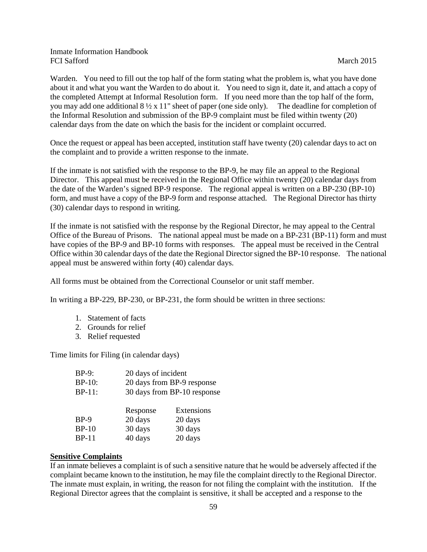Warden. You need to fill out the top half of the form stating what the problem is, what you have done about it and what you want the Warden to do about it. You need to sign it, date it, and attach a copy of the completed Attempt at Informal Resolution form. If you need more than the top half of the form, you may add one additional  $8\frac{1}{2} \times 11$ " sheet of paper (one side only). The deadline for completion of the Informal Resolution and submission of the BP-9 complaint must be filed within twenty (20) calendar days from the date on which the basis for the incident or complaint occurred.

Once the request or appeal has been accepted, institution staff have twenty (20) calendar days to act on the complaint and to provide a written response to the inmate.

If the inmate is not satisfied with the response to the BP-9, he may file an appeal to the Regional Director. This appeal must be received in the Regional Office within twenty (20) calendar days from the date of the Warden's signed BP-9 response. The regional appeal is written on a BP-230 (BP-10) form, and must have a copy of the BP-9 form and response attached. The Regional Director has thirty (30) calendar days to respond in writing.

If the inmate is not satisfied with the response by the Regional Director, he may appeal to the Central Office of the Bureau of Prisons. The national appeal must be made on a BP-231 (BP-11) form and must have copies of the BP-9 and BP-10 forms with responses. The appeal must be received in the Central Office within 30 calendar days of the date the Regional Director signed the BP-10 response. The national appeal must be answered within forty (40) calendar days.

All forms must be obtained from the Correctional Counselor or unit staff member.

In writing a BP-229, BP-230, or BP-231, the form should be written in three sections:

- 1. Statement of facts
- 2. Grounds for relief
- 3. Relief requested

Time limits for Filing (in calendar days)

| $BP-9$ :      | 20 days of incident         |            |
|---------------|-----------------------------|------------|
| <b>BP-10:</b> | 20 days from BP-9 response  |            |
| $BP-11$ :     | 30 days from BP-10 response |            |
|               |                             |            |
|               | Response                    | Extensions |
| $BP-9$        | 20 days                     | 20 days    |
| $BP-10$       | 30 days                     | 30 days    |
| <b>BP-11</b>  | 40 days                     | 20 days    |
|               |                             |            |

#### **Sensitive Complaints**

If an inmate believes a complaint is of such a sensitive nature that he would be adversely affected if the complaint became known to the institution, he may file the complaint directly to the Regional Director. The inmate must explain, in writing, the reason for not filing the complaint with the institution. If the Regional Director agrees that the complaint is sensitive, it shall be accepted and a response to the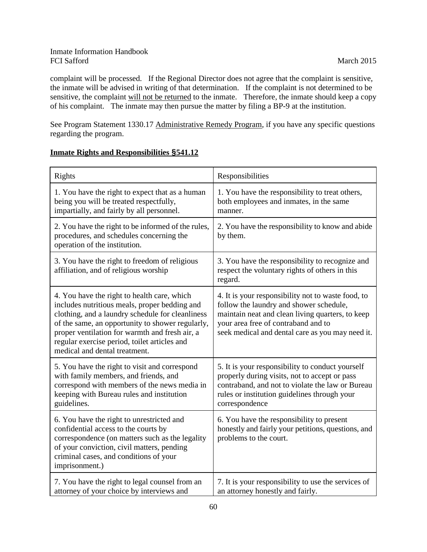complaint will be processed. If the Regional Director does not agree that the complaint is sensitive, the inmate will be advised in writing of that determination. If the complaint is not determined to be sensitive, the complaint will not be returned to the inmate. Therefore, the inmate should keep a copy of his complaint. The inmate may then pursue the matter by filing a BP-9 at the institution.

See Program Statement 1330.17 Administrative Remedy Program, if you have any specific questions regarding the program.

# **Inmate Rights and Responsibilities §541.12**

| Rights                                                                                                                                                                                                                                                                                                                                  | Responsibilities                                                                                                                                                                                                                             |
|-----------------------------------------------------------------------------------------------------------------------------------------------------------------------------------------------------------------------------------------------------------------------------------------------------------------------------------------|----------------------------------------------------------------------------------------------------------------------------------------------------------------------------------------------------------------------------------------------|
| 1. You have the right to expect that as a human<br>being you will be treated respectfully,<br>impartially, and fairly by all personnel.                                                                                                                                                                                                 | 1. You have the responsibility to treat others,<br>both employees and inmates, in the same<br>manner.                                                                                                                                        |
| 2. You have the right to be informed of the rules,<br>procedures, and schedules concerning the<br>operation of the institution.                                                                                                                                                                                                         | 2. You have the responsibility to know and abide<br>by them.                                                                                                                                                                                 |
| 3. You have the right to freedom of religious<br>affiliation, and of religious worship                                                                                                                                                                                                                                                  | 3. You have the responsibility to recognize and<br>respect the voluntary rights of others in this<br>regard.                                                                                                                                 |
| 4. You have the right to health care, which<br>includes nutritious meals, proper bedding and<br>clothing, and a laundry schedule for cleanliness<br>of the same, an opportunity to shower regularly,<br>proper ventilation for warmth and fresh air, a<br>regular exercise period, toilet articles and<br>medical and dental treatment. | 4. It is your responsibility not to waste food, to<br>follow the laundry and shower schedule,<br>maintain neat and clean living quarters, to keep<br>your area free of contraband and to<br>seek medical and dental care as you may need it. |
| 5. You have the right to visit and correspond<br>with family members, and friends, and<br>correspond with members of the news media in<br>keeping with Bureau rules and institution<br>guidelines.                                                                                                                                      | 5. It is your responsibility to conduct yourself<br>properly during visits, not to accept or pass<br>contraband, and not to violate the law or Bureau<br>rules or institution guidelines through your<br>correspondence                      |
| 6. You have the right to unrestricted and<br>confidential access to the courts by<br>correspondence (on matters such as the legality<br>of your conviction, civil matters, pending<br>criminal cases, and conditions of your<br>imprisonment.)                                                                                          | 6. You have the responsibility to present<br>honestly and fairly your petitions, questions, and<br>problems to the court.                                                                                                                    |
| 7. You have the right to legal counsel from an<br>attorney of your choice by interviews and                                                                                                                                                                                                                                             | 7. It is your responsibility to use the services of<br>an attorney honestly and fairly.                                                                                                                                                      |